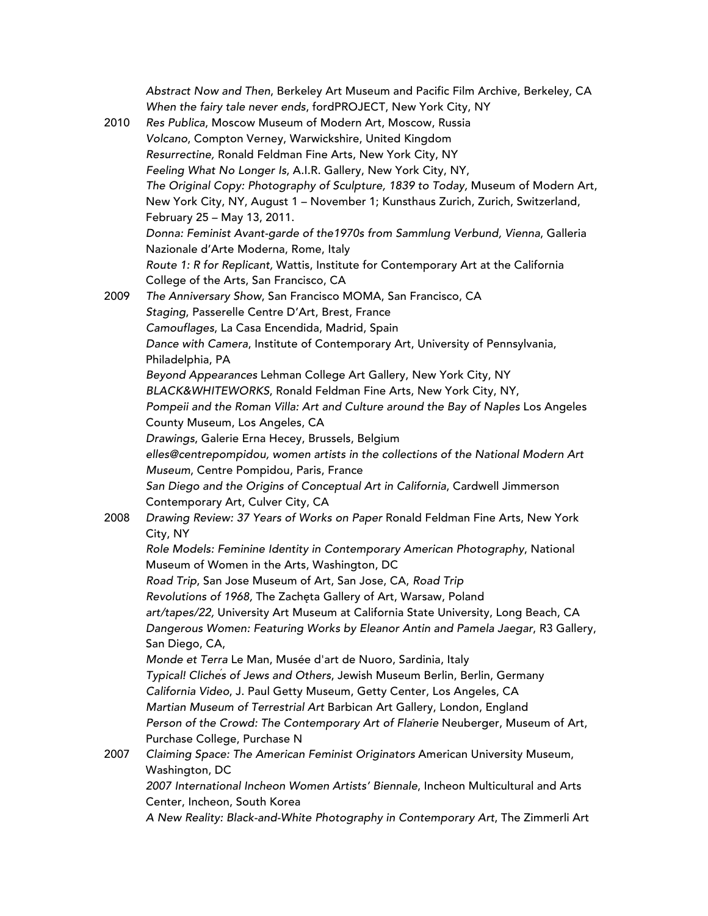| 2010 | Abstract Now and Then, Berkeley Art Museum and Pacific Film Archive, Berkeley, CA<br>When the fairy tale never ends, fordPROJECT, New York City, NY<br>Res Publica, Moscow Museum of Modern Art, Moscow, Russia<br>Volcano, Compton Verney, Warwickshire, United Kingdom<br>Resurrectine, Ronald Feldman Fine Arts, New York City, NY<br>Feeling What No Longer Is, A.I.R. Gallery, New York City, NY,<br>The Original Copy: Photography of Sculpture, 1839 to Today, Museum of Modern Art,<br>New York City, NY, August 1 - November 1; Kunsthaus Zurich, Zurich, Switzerland,<br>February 25 - May 13, 2011.<br>Donna: Feminist Avant-garde of the 1970s from Sammlung Verbund, Vienna, Galleria<br>Nazionale d'Arte Moderna, Rome, Italy |
|------|---------------------------------------------------------------------------------------------------------------------------------------------------------------------------------------------------------------------------------------------------------------------------------------------------------------------------------------------------------------------------------------------------------------------------------------------------------------------------------------------------------------------------------------------------------------------------------------------------------------------------------------------------------------------------------------------------------------------------------------------|
|      | Route 1: R for Replicant, Wattis, Institute for Contemporary Art at the California                                                                                                                                                                                                                                                                                                                                                                                                                                                                                                                                                                                                                                                          |
|      | College of the Arts, San Francisco, CA                                                                                                                                                                                                                                                                                                                                                                                                                                                                                                                                                                                                                                                                                                      |
| 2009 | The Anniversary Show, San Francisco MOMA, San Francisco, CA                                                                                                                                                                                                                                                                                                                                                                                                                                                                                                                                                                                                                                                                                 |
|      | Staging, Passerelle Centre D'Art, Brest, France                                                                                                                                                                                                                                                                                                                                                                                                                                                                                                                                                                                                                                                                                             |
|      | Camouflages, La Casa Encendida, Madrid, Spain                                                                                                                                                                                                                                                                                                                                                                                                                                                                                                                                                                                                                                                                                               |
|      | Dance with Camera, Institute of Contemporary Art, University of Pennsylvania,<br>Philadelphia, PA                                                                                                                                                                                                                                                                                                                                                                                                                                                                                                                                                                                                                                           |
|      | Beyond Appearances Lehman College Art Gallery, New York City, NY                                                                                                                                                                                                                                                                                                                                                                                                                                                                                                                                                                                                                                                                            |
|      | BLACK&WHITEWORKS, Ronald Feldman Fine Arts, New York City, NY,                                                                                                                                                                                                                                                                                                                                                                                                                                                                                                                                                                                                                                                                              |
|      | Pompeii and the Roman Villa: Art and Culture around the Bay of Naples Los Angeles                                                                                                                                                                                                                                                                                                                                                                                                                                                                                                                                                                                                                                                           |
|      | County Museum, Los Angeles, CA                                                                                                                                                                                                                                                                                                                                                                                                                                                                                                                                                                                                                                                                                                              |
|      | Drawings, Galerie Erna Hecey, Brussels, Belgium                                                                                                                                                                                                                                                                                                                                                                                                                                                                                                                                                                                                                                                                                             |
|      | elles@centrepompidou, women artists in the collections of the National Modern Art<br>Museum, Centre Pompidou, Paris, France                                                                                                                                                                                                                                                                                                                                                                                                                                                                                                                                                                                                                 |
|      | San Diego and the Origins of Conceptual Art in California, Cardwell Jimmerson<br>Contemporary Art, Culver City, CA                                                                                                                                                                                                                                                                                                                                                                                                                                                                                                                                                                                                                          |
| 2008 | Drawing Review: 37 Years of Works on Paper Ronald Feldman Fine Arts, New York<br>City, NY                                                                                                                                                                                                                                                                                                                                                                                                                                                                                                                                                                                                                                                   |
|      | Role Models: Feminine Identity in Contemporary American Photography, National<br>Museum of Women in the Arts, Washington, DC                                                                                                                                                                                                                                                                                                                                                                                                                                                                                                                                                                                                                |
|      | Road Trip, San Jose Museum of Art, San Jose, CA, Road Trip                                                                                                                                                                                                                                                                                                                                                                                                                                                                                                                                                                                                                                                                                  |
|      | Revolutions of 1968, The Zachęta Gallery of Art, Warsaw, Poland                                                                                                                                                                                                                                                                                                                                                                                                                                                                                                                                                                                                                                                                             |
|      | art/tapes/22, University Art Museum at California State University, Long Beach, CA<br>Dangerous Women: Featuring Works by Eleanor Antin and Pamela Jaegar, R3 Gallery,<br>San Diego, CA,                                                                                                                                                                                                                                                                                                                                                                                                                                                                                                                                                    |
|      | Monde et Terra Le Man, Musée d'art de Nuoro, Sardinia, Italy                                                                                                                                                                                                                                                                                                                                                                                                                                                                                                                                                                                                                                                                                |
|      | Typical! Cliches of Jews and Others, Jewish Museum Berlin, Berlin, Germany                                                                                                                                                                                                                                                                                                                                                                                                                                                                                                                                                                                                                                                                  |
|      | California Video, J. Paul Getty Museum, Getty Center, Los Angeles, CA                                                                                                                                                                                                                                                                                                                                                                                                                                                                                                                                                                                                                                                                       |
|      | Martian Museum of Terrestrial Art Barbican Art Gallery, London, England                                                                                                                                                                                                                                                                                                                                                                                                                                                                                                                                                                                                                                                                     |
|      | Person of the Crowd: The Contemporary Art of Flanerie Neuberger, Museum of Art,                                                                                                                                                                                                                                                                                                                                                                                                                                                                                                                                                                                                                                                             |
|      | Purchase College, Purchase N                                                                                                                                                                                                                                                                                                                                                                                                                                                                                                                                                                                                                                                                                                                |
| 2007 | Claiming Space: The American Feminist Originators American University Museum,<br>Washington, DC                                                                                                                                                                                                                                                                                                                                                                                                                                                                                                                                                                                                                                             |
|      | 2007 International Incheon Women Artists' Biennale, Incheon Multicultural and Arts<br>Center, Incheon, South Korea                                                                                                                                                                                                                                                                                                                                                                                                                                                                                                                                                                                                                          |
|      |                                                                                                                                                                                                                                                                                                                                                                                                                                                                                                                                                                                                                                                                                                                                             |

*A New Reality: Black-and-White Photography in Contemporary Art*, The Zimmerli Art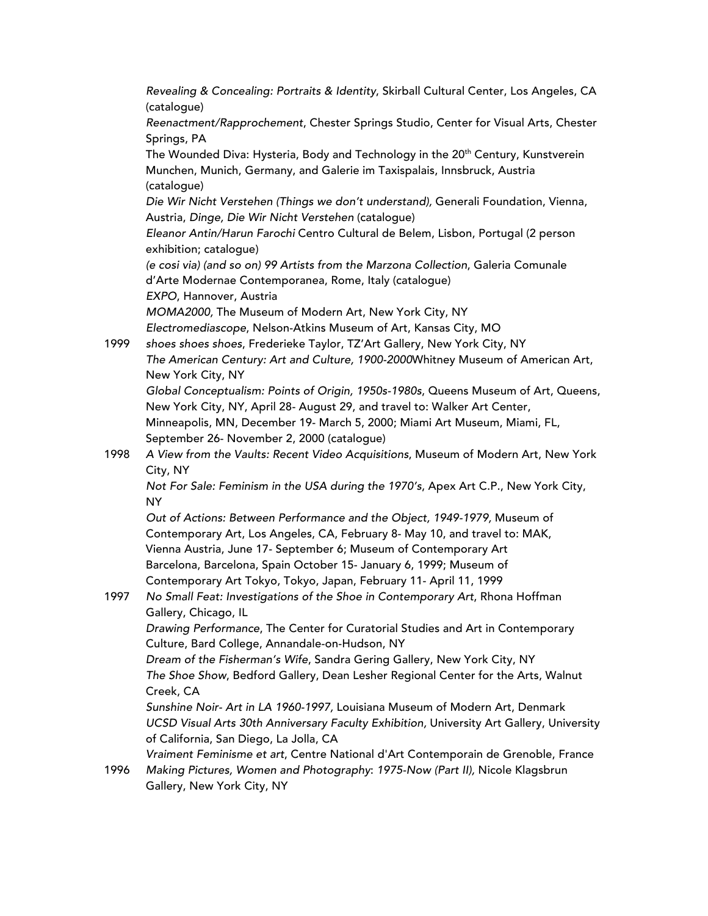*Revealing & Concealing: Portraits & Identity*, Skirball Cultural Center, Los Angeles, CA (catalogue) *Reenactment/Rapprochement*, Chester Springs Studio, Center for Visual Arts, Chester Springs, PA The Wounded Diva: Hysteria, Body and Technology in the 20<sup>th</sup> Century, Kunstverein Munchen, Munich, Germany, and Galerie im Taxispalais, Innsbruck, Austria (catalogue) *Die Wir Nicht Verstehen (Things we don't understand),* Generali Foundation, Vienna, Austria, *Dinge, Die Wir Nicht Verstehen* (catalogue) *Eleanor Antin/Harun Farochi* Centro Cultural de Belem, Lisbon, Portugal (2 person exhibition; catalogue) *(e cosi via) (and so on) 99 Artists from the Marzona Collection*, Galeria Comunale d'Arte Modernae Contemporanea, Rome, Italy (catalogue) *EXPO*, Hannover, Austria *MOMA2000,* The Museum of Modern Art, New York City, NY *Electromediascope*, Nelson-Atkins Museum of Art, Kansas City, MO 1999 *shoes shoes shoes*, Frederieke Taylor, TZ'Art Gallery, New York City, NY *The American Century: Art and Culture, 1900-2000*Whitney Museum of American Art, New York City, NY *Global Conceptualism: Points of Origin, 1950s-1980s*, Queens Museum of Art, Queens, New York City, NY, April 28- August 29, and travel to: Walker Art Center, Minneapolis, MN, December 19- March 5, 2000; Miami Art Museum, Miami, FL, September 26- November 2, 2000 (catalogue) 1998 *A View from the Vaults: Recent Video Acquisitions*, Museum of Modern Art, New York City, NY *Not For Sale: Feminism in the USA during the 1970's*, Apex Art C.P., New York City, NY *Out of Actions: Between Performance and the Object, 1949-1979,* Museum of Contemporary Art, Los Angeles, CA, February 8- May 10, and travel to: MAK, Vienna Austria, June 17- September 6; Museum of Contemporary Art Barcelona, Barcelona, Spain October 15- January 6, 1999; Museum of Contemporary Art Tokyo, Tokyo, Japan, February 11- April 11, 1999 1997 *No Small Feat: Investigations of the Shoe in Contemporary Art*, Rhona Hoffman Gallery, Chicago, IL *Drawing Performance*, The Center for Curatorial Studies and Art in Contemporary Culture, Bard College, Annandale-on-Hudson, NY *Dream of the Fisherman's Wife*, Sandra Gering Gallery, New York City, NY *The Shoe Show*, Bedford Gallery, Dean Lesher Regional Center for the Arts, Walnut Creek, CA *Sunshine Noir- Art in LA 1960-1997,* Louisiana Museum of Modern Art, Denmark *UCSD Visual Arts 30th Anniversary Faculty Exhibition,* University Art Gallery, University of California, San Diego, La Jolla, CA *Vraiment Feminisme et art*, Centre National d'Art Contemporain de Grenoble, France 1996 *Making Pictures, Women and Photography*: *1975-Now (Part II),* Nicole Klagsbrun Gallery, New York City, NY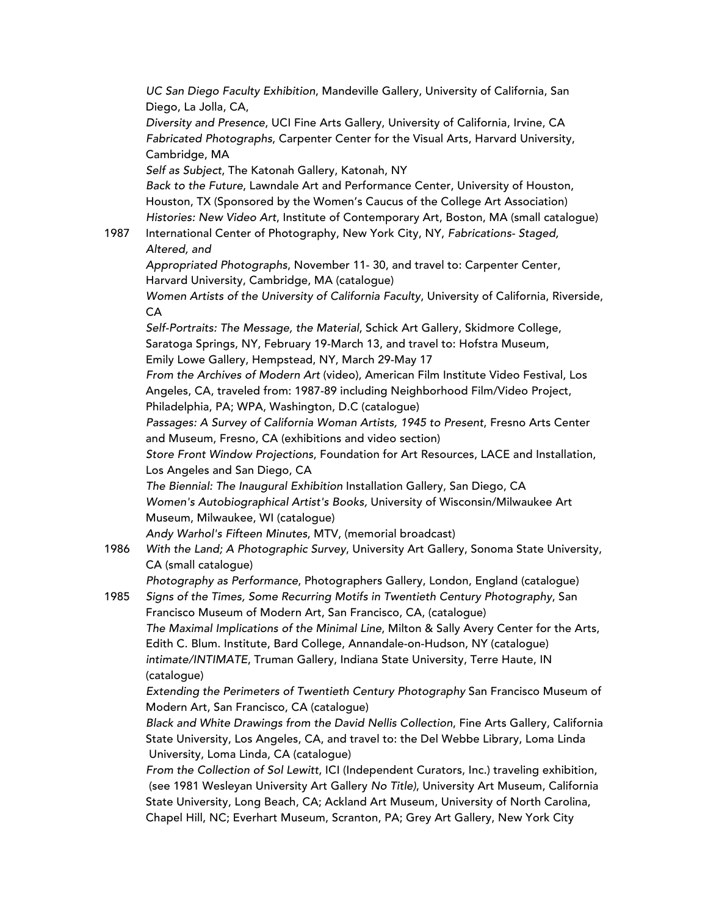*UC San Diego Faculty Exhibition*, Mandeville Gallery, University of California, San Diego, La Jolla, CA, *Diversity and Presence*, UCI Fine Arts Gallery, University of California, Irvine, CA *Fabricated Photographs*, Carpenter Center for the Visual Arts, Harvard University, Cambridge, MA *Self as Subject*, The Katonah Gallery, Katonah, NY *Back to the Future*, Lawndale Art and Performance Center, University of Houston, Houston, TX (Sponsored by the Women's Caucus of the College Art Association) *Histories: New Video Art*, Institute of Contemporary Art, Boston, MA (small catalogue) 1987 International Center of Photography, New York City, NY, *Fabrications- Staged, Altered, and Appropriated Photographs*, November 11- 30, and travel to: Carpenter Center, Harvard University, Cambridge, MA (catalogue) *Women Artists of the University of California Faculty*, University of California, Riverside, CA *Self-Portraits: The Message, the Material*, Schick Art Gallery, Skidmore College, Saratoga Springs, NY, February 19-March 13, and travel to: Hofstra Museum, Emily Lowe Gallery, Hempstead, NY, March 29-May 17 *From the Archives of Modern Art* (video), American Film Institute Video Festival, Los Angeles, CA, traveled from: 1987-89 including Neighborhood Film/Video Project, Philadelphia, PA; WPA, Washington, D.C (catalogue) *Passages: A Survey of California Woman Artists, 1945 to Present*, Fresno Arts Center and Museum, Fresno, CA (exhibitions and video section) *Store Front Window Projections*, Foundation for Art Resources, LACE and Installation, Los Angeles and San Diego, CA *The Biennial: The Inaugural Exhibition* Installation Gallery, San Diego, CA *Women's Autobiographical Artist's Books,* University of Wisconsin/Milwaukee Art Museum, Milwaukee, WI (catalogue) *Andy Warhol's Fifteen Minutes*, MTV, (memorial broadcast) 1986 *With the Land; A Photographic Survey*, University Art Gallery, Sonoma State University, CA (small catalogue) *Photography as Performance*, Photographers Gallery, London, England (catalogue) 1985 *Signs of the Times, Some Recurring Motifs in Twentieth Century Photography*, San Francisco Museum of Modern Art, San Francisco, CA, (catalogue) *The Maximal Implications of the Minimal Line*, Milton & Sally Avery Center for the Arts, Edith C. Blum. Institute, Bard College, Annandale-on-Hudson, NY (catalogue) *intimate/INTIMATE*, Truman Gallery, Indiana State University, Terre Haute, IN (catalogue) *Extending the Perimeters of Twentieth Century Photography* San Francisco Museum of Modern Art, San Francisco, CA (catalogue) *Black and White Drawings from the David Nellis Collection*, Fine Arts Gallery, California State University, Los Angeles, CA, and travel to: the Del Webbe Library, Loma Linda University, Loma Linda, CA (catalogue) *From the Collection of Sol Lewitt*, ICI (Independent Curators, Inc.) traveling exhibition, (see 1981 Wesleyan University Art Gallery *No Title)*, University Art Museum, California State University, Long Beach, CA; Ackland Art Museum, University of North Carolina,

Chapel Hill, NC; Everhart Museum, Scranton, PA; Grey Art Gallery, New York City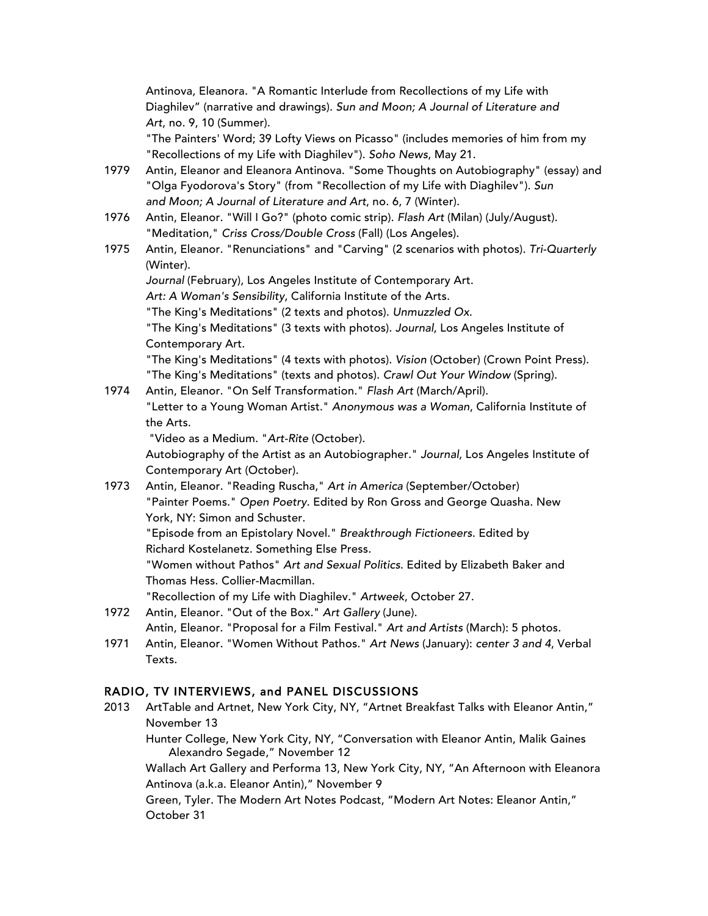Antinova, Eleanora. "A Romantic Interlude from Recollections of my Life with Diaghilev" (narrative and drawings). *Sun and Moon; A Journal of Literature and Art*, no. 9, 10 (Summer).

"The Painters' Word; 39 Lofty Views on Picasso" (includes memories of him from my "Recollections of my Life with Diaghilev"). *Soho News*, May 21.

- 1979 Antin, Eleanor and Eleanora Antinova. "Some Thoughts on Autobiography" (essay) and "Olga Fyodorova's Story" (from "Recollection of my Life with Diaghilev"). *Sun and Moon; A Journal of Literature and Art*, no. 6, 7 (Winter).
- 1976 Antin, Eleanor. "Will I Go?" (photo comic strip). *Flash Art* (Milan) (July/August). "Meditation," *Criss Cross/Double Cross* (Fall) (Los Angeles).
- 1975 Antin, Eleanor. "Renunciations" and "Carving" (2 scenarios with photos). *Tri-Quarterly* (Winter).

Journal (February), Los Angeles Institute of Contemporary Art. *Art: A Woman's Sensibility*, California Institute of the Arts. "The King's Meditations" (2 texts and photos). *Unmuzzled Ox*. "The King's Meditations" (3 texts with photos). *Journal*, Los Angeles Institute of Contemporary Art. "The King's Meditations" (4 texts with photos). *Vision* (October) (Crown Point Press).

"The King's Meditations" (texts and photos). *Crawl Out Your Window* (Spring).

1974 Antin, Eleanor. "On Self Transformation." *Flash Art* (March/April). "Letter to a Young Woman Artist." *Anonymous was a Woman*, California Institute of the Arts.

"Video as a Medium. "*Art-Rite* (October).

Autobiography of the Artist as an Autobiographer." *Journal*, Los Angeles Institute of Contemporary Art (October).

1973 Antin, Eleanor. "Reading Ruscha," *Art in America* (September/October) "Painter Poems." *Open Poetry*. Edited by Ron Gross and George Quasha. New York, NY: Simon and Schuster. "Episode from an Epistolary Novel." *Breakthrough Fictioneers*. Edited by Richard Kostelanetz. Something Else Press. "Women without Pathos" *Art and Sexual Politics*. Edited by Elizabeth Baker and Thomas Hess. Collier-Macmillan.

"Recollection of my Life with Diaghilev." *Artweek*, October 27.

- 1972 Antin, Eleanor*.* "Out of the Box." *Art Gallery* (June). Antin, Eleanor*.* "Proposal for a Film Festival." *Art and Artists* (March): 5 photos.
- 1971 Antin, Eleanor. "Women Without Pathos." *Art News* (January): *center 3 and 4*, Verbal Texts.

## RADIO, TV INTERVIEWS, and PANEL DISCUSSIONS

2013 ArtTable and Artnet, New York City, NY, "Artnet Breakfast Talks with Eleanor Antin," November 13 Hunter College, New York City, NY, "Conversation with Eleanor Antin, Malik Gaines and Alexandro Segade," November 12 Wallach Art Gallery and Performa 13, New York City, NY, "An Afternoon with Eleanora Antinova (a.k.a. Eleanor Antin)," November 9 Green, Tyler. The Modern Art Notes Podcast, "Modern Art Notes: Eleanor Antin," October 31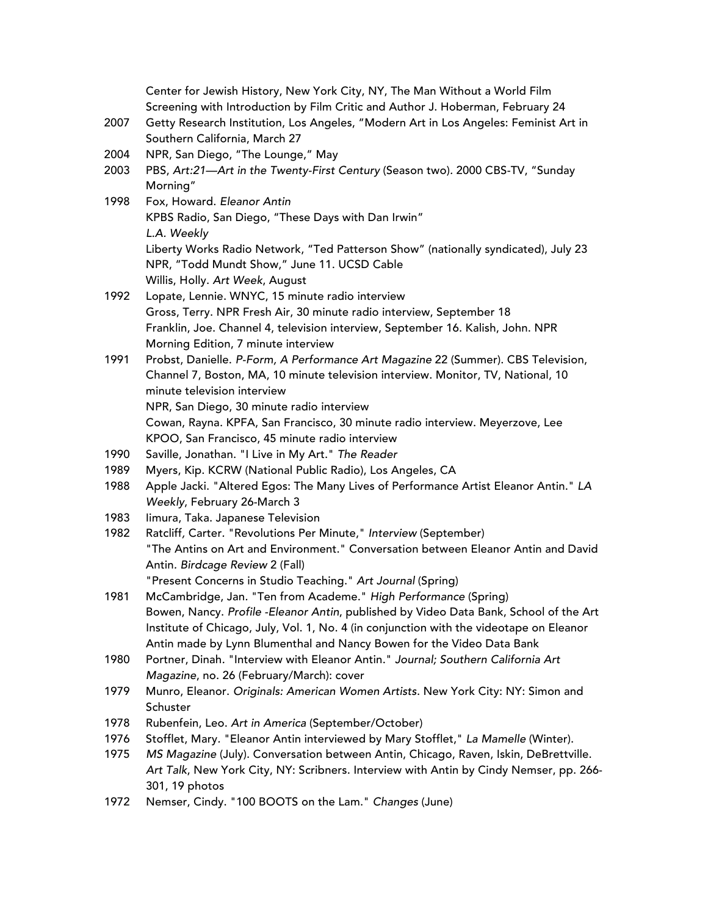Center for Jewish History, New York City, NY, The Man Without a World Film Screening with Introduction by Film Critic and Author J. Hoberman, February 24

- 2007 Getty Research Institution, Los Angeles, "Modern Art in Los Angeles: Feminist Art in Southern California, March 27
- 2004 NPR, San Diego, "The Lounge," May
- 2003 PBS, *Art:21—Art in the Twenty-First Century* (Season two)*.* 2000 CBS-TV, "Sunday Morning"
- 1998 Fox, Howard. *Eleanor Antin* KPBS Radio, San Diego, "These Days with Dan Irwin" *L.A. Weekly* Liberty Works Radio Network, "Ted Patterson Show" (nationally syndicated), July 23 NPR, "Todd Mundt Show," June 11. UCSD Cable Willis, Holly. *Art Week*, August
- 1992 Lopate, Lennie. WNYC, 15 minute radio interview Gross, Terry. NPR Fresh Air, 30 minute radio interview, September 18 Franklin, Joe. Channel 4, television interview, September 16. Kalish, John. NPR Morning Edition, 7 minute interview
- 1991 Probst, Danielle. *P-Form, A Performance Art Magazine* 22 (Summer). CBS Television, Channel 7, Boston, MA, 10 minute television interview. Monitor, TV, National, 10 minute television interview NPR, San Diego, 30 minute radio interview
	- Cowan, Rayna. KPFA, San Francisco, 30 minute radio interview. Meyerzove, Lee KPOO, San Francisco, 45 minute radio interview
- 1990 Saville, Jonathan. "I Live in My Art." *The Reader*
- 1989 Myers, Kip. KCRW (National Public Radio), Los Angeles, CA
- 1988 Apple Jacki. "Altered Egos: The Many Lives of Performance Artist Eleanor Antin." *LA Weekly*, February 26-March 3
- 1983 Iimura, Taka. Japanese Television
- 1982 Ratcliff*,* Carter*.* "Revolutions Per Minute," *Interview* (September) "The Antins on Art and Environment." Conversation between Eleanor Antin and David Antin*. Birdcage Review* 2 (Fall) "Present Concerns in Studio Teaching." *Art Journal* (Spring)
- 1981 McCambridge, Jan*.* "Ten from Academe." *High Performance* (Spring) Bowen, Nancy. *Profile -Eleanor Antin*, published by Video Data Bank, School of the Art Institute of Chicago, July, Vol. 1, No. 4 (in conjunction with the videotape on Eleanor Antin made by Lynn Blumenthal and Nancy Bowen for the Video Data Bank
- 1980 Portner, Dinah*.* "Interview with Eleanor Antin." *Journal; Southern California Art Magazine*, no. 26 (February/March): cover
- 1979 Munro, Eleanor. *Originals: American Women Artists*. New York City: NY: Simon and **Schuster**
- 1978 Rubenfein, Leo. *Art in America* (September/October)
- 1976 Stofflet, Mary*.* "Eleanor Antin interviewed by Mary Stofflet," *La Mamelle* (Winter).
- 1975 *MS Magazine* (July). Conversation between Antin, Chicago, Raven, Iskin, DeBrettville. *Art Talk*, New York City, NY: Scribners. Interview with Antin by Cindy Nemser, pp. 266- 301, 19 photos
- 1972 Nemser, Cindy. "100 BOOTS on the Lam." *Changes* (June)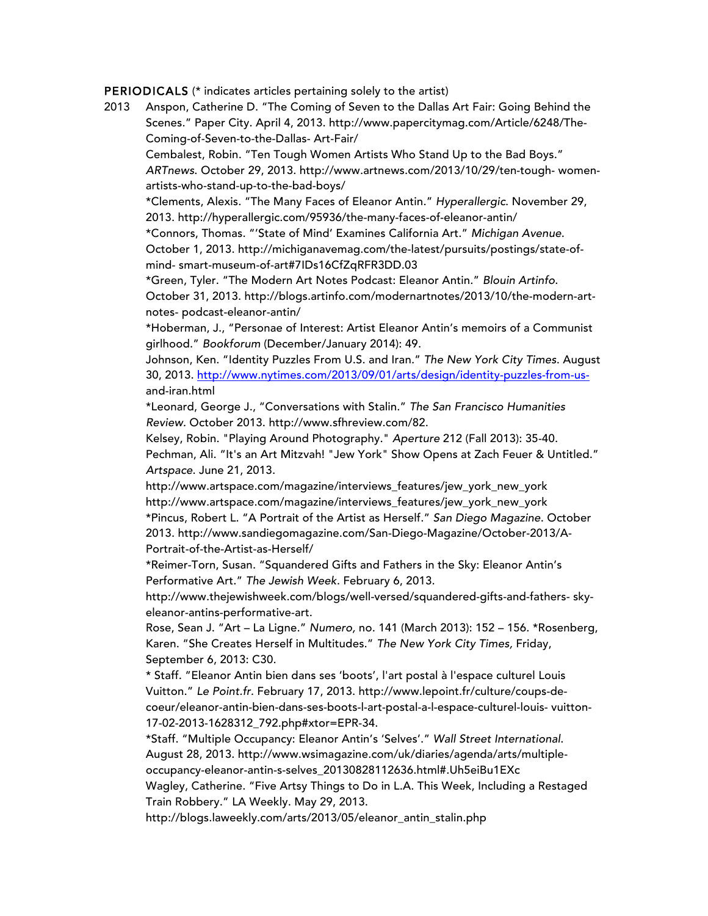PERIODICALS (\* indicates articles pertaining solely to the artist)

2013 Anspon, Catherine D. "The Coming of Seven to the Dallas Art Fair: Going Behind the Scenes." Paper City. April 4, 2013. http://www.papercitymag.com/Article/6248/The-Coming-of-Seven-to-the-Dallas- Art-Fair/ Cembalest, Robin. "Ten Tough Women Artists Who Stand Up to the Bad Boys." *ARTnews*. October 29, 2013. http://www.artnews.com/2013/10/29/ten-tough- womenartists-who-stand-up-to-the-bad-boys/ \*Clements, Alexis. "The Many Faces of Eleanor Antin." *Hyperallergic*. November 29, 2013. http://hyperallergic.com/95936/the-many-faces-of-eleanor-antin/ \*Connors, Thomas. "'State of Mind' Examines California Art." *Michigan Avenue*. October 1, 2013. http://michiganavemag.com/the-latest/pursuits/postings/state-ofmind- smart-museum-of-art#7IDs16CfZqRFR3DD.03 \*Green, Tyler. "The Modern Art Notes Podcast: Eleanor Antin." *Blouin Artinfo*. October 31, 2013. http://blogs.artinfo.com/modernartnotes/2013/10/the-modern-artnotes- podcast-eleanor-antin/ \*Hoberman, J., "Personae of Interest: Artist Eleanor Antin's memoirs of a Communist girlhood." *Bookforum* (December/January 2014): 49. Johnson, Ken. "Identity Puzzles From U.S. and Iran." *The New York City Times*. August 30, 2013. http://www.nytimes.com/2013/09/01/arts/design/identity-puzzles-from-usand-iran.html \*Leonard, George J., "Conversations with Stalin." *The San Francisco Humanities Review.* October 2013. http://www.sfhreview.com/82. Kelsey, Robin. "Playing Around Photography." *Aperture* 212 (Fall 2013): 35-40. Pechman, Ali. "It's an Art Mitzvah! "Jew York" Show Opens at Zach Feuer & Untitled." *Artspace*. June 21, 2013. http://www.artspace.com/magazine/interviews\_features/jew\_york\_new\_york http://www.artspace.com/magazine/interviews\_features/jew\_york\_new\_york \*Pincus, Robert L. "A Portrait of the Artist as Herself." *San Diego Magazine*. October 2013. http://www.sandiegomagazine.com/San-Diego-Magazine/October-2013/A-Portrait-of-the-Artist-as-Herself/ \*Reimer-Torn, Susan. "Squandered Gifts and Fathers in the Sky: Eleanor Antin's Performative Art." *The Jewish Week.* February 6, 2013. http://www.thejewishweek.com/blogs/well-versed/squandered-gifts-and-fathers- skyeleanor-antins-performative-art. Rose, Sean J. "Art – La Ligne." *Numero,* no. 141 (March 2013): 152 – 156. \*Rosenberg, Karen. "She Creates Herself in Multitudes." *The New York City Times,* Friday, September 6, 2013: C30. \* Staff. "Eleanor Antin bien dans ses 'boots', l'art postal à l'espace culturel Louis

Vuitton." *Le Point.fr.* February 17, 2013. http://www.lepoint.fr/culture/coups-decoeur/eleanor-antin-bien-dans-ses-boots-l-art-postal-a-l-espace-culturel-louis- vuitton-17-02-2013-1628312\_792.php#xtor=EPR-34.

\*Staff. "Multiple Occupancy: Eleanor Antin's 'Selves'." *Wall Street International*. August 28, 2013. http://www.wsimagazine.com/uk/diaries/agenda/arts/multipleoccupancy-eleanor-antin-s-selves\_20130828112636.html#.Uh5eiBu1EXc

Wagley, Catherine. "Five Artsy Things to Do in L.A. This Week, Including a Restaged Train Robbery." LA Weekly. May 29, 2013.

http://blogs.laweekly.com/arts/2013/05/eleanor\_antin\_stalin.php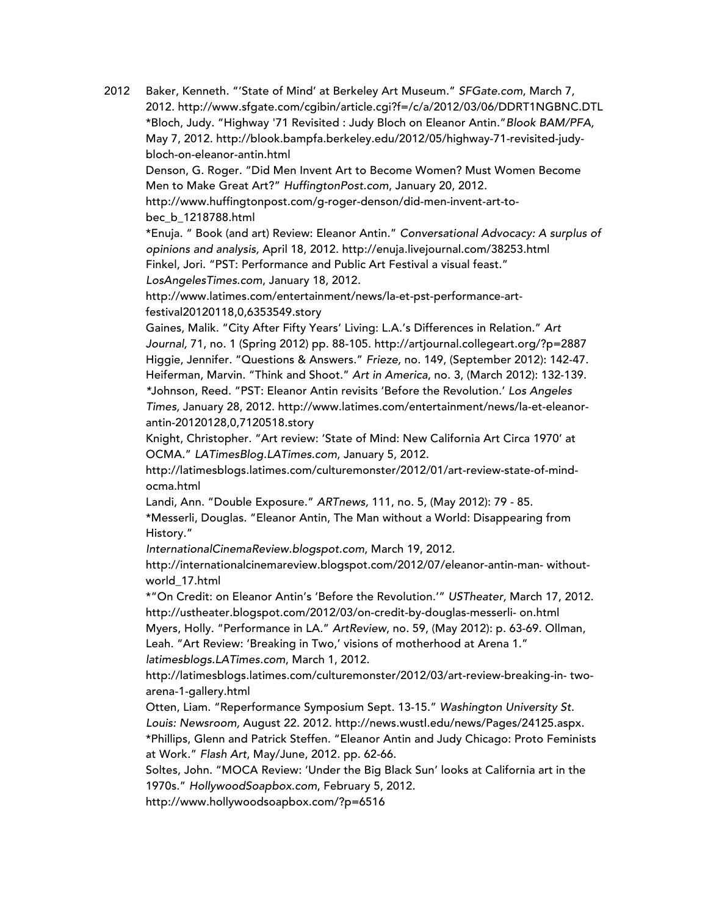2012 Baker, Kenneth. "'State of Mind' at Berkeley Art Museum." *SFGate.com*, March 7, 2012. http://www.sfgate.com/cgibin/article.cgi?f=/c/a/2012/03/06/DDRT1NGBNC.DTL \*Bloch, Judy. "Highway '71 Revisited : Judy Bloch on Eleanor Antin."*Blook BAM/PFA,* May 7, 2012. http://blook.bampfa.berkeley.edu/2012/05/highway-71-revisited-judybloch-on-eleanor-antin.html

Denson, G. Roger. "Did Men Invent Art to Become Women? Must Women Become Men to Make Great Art?" *HuffingtonPost.com*, January 20, 2012.

http://www.huffingtonpost.com/g-roger-denson/did-men-invent-art-tobec\_b\_1218788.html

\*Enuja. " Book (and art) Review: Eleanor Antin." *Conversational Advocacy: A surplus of opinions and analysis,* April 18, 2012. http://enuja.livejournal.com/38253.html Finkel, Jori. "PST: Performance and Public Art Festival a visual feast." *LosAngelesTimes*.*com*, January 18, 2012.

http://www.latimes.com/entertainment/news/la-et-pst-performance-artfestival20120118,0,6353549.story

Gaines, Malik. "City After Fifty Years' Living: L.A.'s Differences in Relation." *Art Journal,* 71, no. 1 (Spring 2012) pp. 88-105. http://artjournal.collegeart.org/?p=2887 Higgie, Jennifer. "Questions & Answers." *Frieze,* no. 149, (September 2012): 142-47. Heiferman, Marvin. "Think and Shoot." *Art in America*, no. 3, (March 2012): 132-139. *\**Johnson, Reed. "PST: Eleanor Antin revisits 'Before the Revolution.' *Los Angeles Times,* January 28, 2012. http://www.latimes.com/entertainment/news/la-et-eleanorantin-20120128,0,7120518.story

Knight, Christopher. "Art review: 'State of Mind: New California Art Circa 1970' at OCMA." *LATimesBlog.LATimes.com*, January 5, 2012.

http://latimesblogs.latimes.com/culturemonster/2012/01/art-review-state-of-mindocma.html

Landi, Ann. "Double Exposure." *ARTnews,* 111, no. 5, (May 2012): 79 - 85.

\*Messerli, Douglas. "Eleanor Antin, The Man without a World: Disappearing from History."

*InternationalCinemaReview.blogspot.com*, March 19, 2012.

http://internationalcinemareview.blogspot.com/2012/07/eleanor-antin-man- withoutworld\_17.html

\*"On Credit: on Eleanor Antin's 'Before the Revolution.'" *USTheater,* March 17, 2012. http://ustheater.blogspot.com/2012/03/on-credit-by-douglas-messerli- on.html Myers, Holly. "Performance in LA." *ArtReview*, no. 59, (May 2012): p. 63-69. Ollman,

Leah. "Art Review: 'Breaking in Two,' visions of motherhood at Arena 1." *latimesblogs.LATimes.com*, March 1, 2012.

http://latimesblogs.latimes.com/culturemonster/2012/03/art-review-breaking-in- twoarena-1-gallery.html

Otten, Liam. "Reperformance Symposium Sept. 13-15." *Washington University St. Louis: Newsroom,* August 22. 2012. http://news.wustl.edu/news/Pages/24125.aspx. \*Phillips, Glenn and Patrick Steffen. "Eleanor Antin and Judy Chicago: Proto Feminists at Work." *Flash Art*, May/June, 2012. pp. 62-66.

Soltes, John. "MOCA Review: 'Under the Big Black Sun' looks at California art in the 1970s." *HollywoodSoapbox*.*com*, February 5, 2012.

http://www.hollywoodsoapbox.com/?p=6516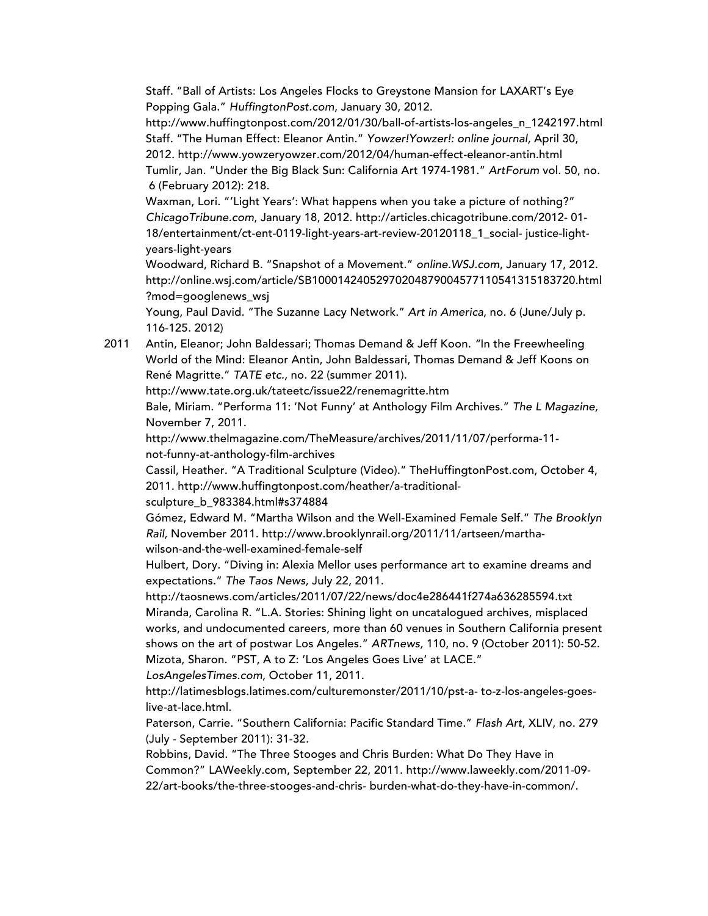Staff. "Ball of Artists: Los Angeles Flocks to Greystone Mansion for LAXART's Eye Popping Gala." *HuffingtonPost.com*, January 30, 2012.

http://www.huffingtonpost.com/2012/01/30/ball-of-artists-los-angeles\_n\_1242197.html Staff. "The Human Effect: Eleanor Antin." *Yowzer!Yowzer!: online journal,* April 30, 2012. http://www.yowzeryowzer.com/2012/04/human-effect-eleanor-antin.html Tumlir, Jan. "Under the Big Black Sun: California Art 1974-1981." *ArtForum* vol. 50, no. 6 (February 2012): 218.

Waxman, Lori. "'Light Years': What happens when you take a picture of nothing?" *ChicagoTribune.com*, January 18, 2012. http://articles.chicagotribune.com/2012- 01- 18/entertainment/ct-ent-0119-light-years-art-review-20120118\_1\_social- justice-lightyears-light-years

Woodward, Richard B. "Snapshot of a Movement." *online.WSJ.com*, January 17, 2012. http://online.wsj.com/article/SB10001424052970204879004577110541315183720.html ?mod=googlenews\_wsj

Young, Paul David. "The Suzanne Lacy Network." *Art in America*, no. 6 (June/July p. 116-125. 2012)

2011 Antin, Eleanor; John Baldessari; Thomas Demand & Jeff Koon. *"*In the Freewheeling World of the Mind: Eleanor Antin, John Baldessari, Thomas Demand & Jeff Koons on René Magritte." *TATE etc.,* no. 22 (summer 2011).

http://www.tate.org.uk/tateetc/issue22/renemagritte.htm

Bale, Miriam. "Performa 11: 'Not Funny' at Anthology Film Archives." *The L Magazine,* November 7, 2011.

http://www.thelmagazine.com/TheMeasure/archives/2011/11/07/performa-11 not-funny-at-anthology-film-archives

Cassil, Heather. "A Traditional Sculpture (Video)." TheHuffingtonPost.com, October 4, 2011. http://www.huffingtonpost.com/heather/a-traditional-

sculpture\_b\_983384.html#s374884

Gómez, Edward M. "Martha Wilson and the Well-Examined Female Self." *The Brooklyn Rail,* November 2011. http://www.brooklynrail.org/2011/11/artseen/marthawilson-and-the-well-examined-female-self

Hulbert, Dory. "Diving in: Alexia Mellor uses performance art to examine dreams and expectations." *The Taos News,* July 22, 2011.

http://taosnews.com/articles/2011/07/22/news/doc4e286441f274a636285594.txt Miranda, Carolina R. "L.A. Stories: Shining light on uncatalogued archives, misplaced works, and undocumented careers, more than 60 venues in Southern California present shows on the art of postwar Los Angeles." *ARTnews,* 110, no. 9 (October 2011): 50-52. Mizota, Sharon. "PST, A to Z: 'Los Angeles Goes Live' at LACE."

*LosAngelesTimes.com*, October 11, 2011.

http://latimesblogs.latimes.com/culturemonster/2011/10/pst-a- to-z-los-angeles-goeslive-at-lace.html.

Paterson, Carrie. "Southern California: Pacific Standard Time." *Flash Art*, XLIV, no. 279 (July - September 2011): 31-32.

Robbins, David. "The Three Stooges and Chris Burden: What Do They Have in Common?" LAWeekly.com, September 22, 2011. http://www.laweekly.com/2011-09- 22/art-books/the-three-stooges-and-chris- burden-what-do-they-have-in-common/.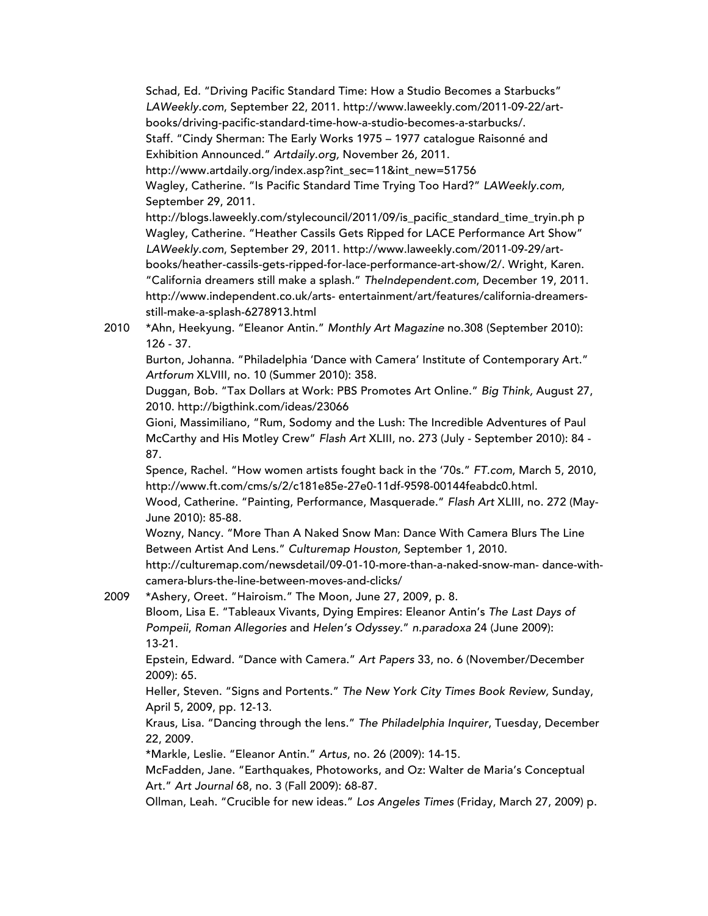Schad, Ed. "Driving Pacific Standard Time: How a Studio Becomes a Starbucks" *LAWeekly.com*, September 22, 2011. http://www.laweekly.com/2011-09-22/artbooks/driving-pacific-standard-time-how-a-studio-becomes-a-starbucks/. Staff. "Cindy Sherman: The Early Works 1975 – 1977 catalogue Raisonné and Exhibition Announced." *Artdaily.org,* November 26, 2011. http://www.artdaily.org/index.asp?int\_sec=11&int\_new=51756

Wagley, Catherine. "Is Pacific Standard Time Trying Too Hard?" *LAWeekly.com,* September 29, 2011.

http://blogs.laweekly.com/stylecouncil/2011/09/is\_pacific\_standard\_time\_tryin.ph p Wagley, Catherine. "Heather Cassils Gets Ripped for LACE Performance Art Show" *LAWeekly.com*, September 29, 2011. http://www.laweekly.com/2011-09-29/artbooks/heather-cassils-gets-ripped-for-lace-performance-art-show/2/. Wright, Karen. "California dreamers still make a splash." *TheIndependent.com*, December 19, 2011. http://www.independent.co.uk/arts- entertainment/art/features/california-dreamersstill-make-a-splash-6278913.html

2010 \*Ahn, Heekyung. "Eleanor Antin." *Monthly Art Magazine* no.308 (September 2010): 126 - 37.

Burton, Johanna. "Philadelphia 'Dance with Camera' Institute of Contemporary Art." *Artforum* XLVIII, no. 10 (Summer 2010): 358.

Duggan, Bob. "Tax Dollars at Work: PBS Promotes Art Online." *Big Think,* August 27, 2010. http://bigthink.com/ideas/23066

Gioni, Massimiliano, "Rum, Sodomy and the Lush: The Incredible Adventures of Paul McCarthy and His Motley Crew" *Flash Art* XLIII, no. 273 (July - September 2010): 84 - 87.

Spence, Rachel. "How women artists fought back in the '70s." *FT.com*, March 5, 2010, http://www.ft.com/cms/s/2/c181e85e-27e0-11df-9598-00144feabdc0.html.

Wood, Catherine. "Painting, Performance, Masquerade." *Flash Art* XLIII, no. 272 (May-June 2010): 85-88.

Wozny, Nancy. "More Than A Naked Snow Man: Dance With Camera Blurs The Line Between Artist And Lens." *Culturemap Houston,* September 1, 2010.

http://culturemap.com/newsdetail/09-01-10-more-than-a-naked-snow-man- dance-withcamera-blurs-the-line-between-moves-and-clicks/

2009 \*Ashery, Oreet. "Hairoism." The Moon, June 27, 2009, p. 8.

Bloom, Lisa E. "Tableaux Vivants, Dying Empires: Eleanor Antin's *The Last Days of Pompeii*, *Roman Allegories* and *Helen's Odyssey*." *n.paradoxa* 24 (June 2009): 13-21.

Epstein, Edward. "Dance with Camera." *Art Papers* 33, no. 6 (November/December 2009): 65.

Heller, Steven. "Signs and Portents." *The New York City Times Book Review,* Sunday, April 5, 2009, pp. 12-13.

Kraus, Lisa. "Dancing through the lens." *The Philadelphia Inquirer*, Tuesday, December 22, 2009.

\*Markle, Leslie. "Eleanor Antin." *Artus*, no. 26 (2009): 14-15.

McFadden, Jane. "Earthquakes, Photoworks, and Oz: Walter de Maria's Conceptual Art." *Art Journal* 68, no. 3 (Fall 2009): 68-87.

Ollman, Leah. "Crucible for new ideas." *Los Angeles Times* (Friday, March 27, 2009) p.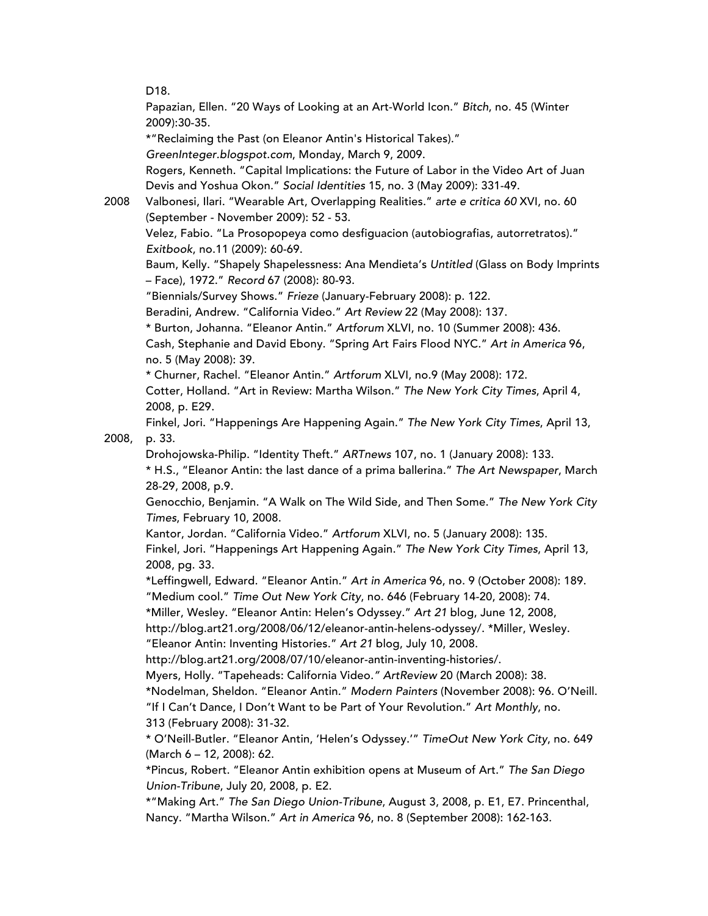D18.

Papazian, Ellen. "20 Ways of Looking at an Art-World Icon." *Bitch*, no. 45 (Winter 2009):30-35.

\*"Reclaiming the Past (on Eleanor Antin's Historical Takes)."

*GreenInteger.blogspot.com*, Monday, March 9, 2009.

Rogers, Kenneth. "Capital Implications: the Future of Labor in the Video Art of Juan Devis and Yoshua Okon." *Social Identities* 15, no. 3 (May 2009): 331-49.

2008 Valbonesi, Ilari. "Wearable Art, Overlapping Realities." *arte e critica 60* XVI, no. 60 (September - November 2009): 52 - 53. Velez, Fabio. "La Prosopopeya como desfiguacion (autobiografias, autorretratos)." *Exitbook*, no.11 (2009): 60-69.

Baum, Kelly. "Shapely Shapelessness: Ana Mendieta's *Untitled* (Glass on Body Imprints – Face), 1972." *Record* 67 (2008): 80-93.

"Biennials/Survey Shows." *Frieze* (January-February 2008): p. 122.

Beradini, Andrew. "California Video." *Art Review* 22 (May 2008): 137.

\* Burton, Johanna. "Eleanor Antin." *Artforum* XLVI, no. 10 (Summer 2008): 436. Cash, Stephanie and David Ebony. "Spring Art Fairs Flood NYC." *Art in America* 96, no. 5 (May 2008): 39.

\* Churner, Rachel. "Eleanor Antin." *Artforum* XLVI, no.9 (May 2008): 172.

Cotter, Holland. "Art in Review: Martha Wilson." *The New York City Times*, April 4, 2008, p. E29.

Finkel, Jori. "Happenings Are Happening Again." *The New York City Times*, April 13, 2008, p. 33.

Drohojowska-Philip. "Identity Theft." *ARTnews* 107, no. 1 (January 2008): 133.

\* H.S., "Eleanor Antin: the last dance of a prima ballerina." *The Art Newspaper*, March 28-29, 2008, p.9.

Genocchio, Benjamin. "A Walk on The Wild Side, and Then Some." *The New York City Times*, February 10, 2008.

Kantor, Jordan. "California Video." *Artforum* XLVI, no. 5 (January 2008): 135. Finkel, Jori. "Happenings Art Happening Again." *The New York City Times*, April 13, 2008, pg. 33.

\*Leffingwell, Edward. "Eleanor Antin." *Art in America* 96, no. 9 (October 2008): 189. "Medium cool." *Time Out New York City*, no. 646 (February 14-20, 2008): 74.

\*Miller, Wesley. "Eleanor Antin: Helen's Odyssey." *Art 21* blog, June 12, 2008,

http://blog.art21.org/2008/06/12/eleanor-antin-helens-odyssey/. \*Miller, Wesley. "Eleanor Antin: Inventing Histories." *Art 21* blog, July 10, 2008.

http://blog.art21.org/2008/07/10/eleanor-antin-inventing-histories/.

Myers, Holly. "Tapeheads: California Video*." ArtReview* 20 (March 2008): 38.

\*Nodelman, Sheldon. "Eleanor Antin." *Modern Painters* (November 2008): 96. O'Neill. "If I Can't Dance, I Don't Want to be Part of Your Revolution." *Art Monthly*, no. 313 (February 2008): 31-32.

\* O'Neill-Butler. "Eleanor Antin, 'Helen's Odyssey.'" *TimeOut New York City*, no. 649 (March 6 – 12, 2008): 62.

\*Pincus, Robert. "Eleanor Antin exhibition opens at Museum of Art." *The San Diego Union-Tribune*, July 20, 2008, p. E2.

\*"Making Art." *The San Diego Union-Tribune*, August 3, 2008, p. E1, E7. Princenthal, Nancy. "Martha Wilson." *Art in America* 96, no. 8 (September 2008): 162-163.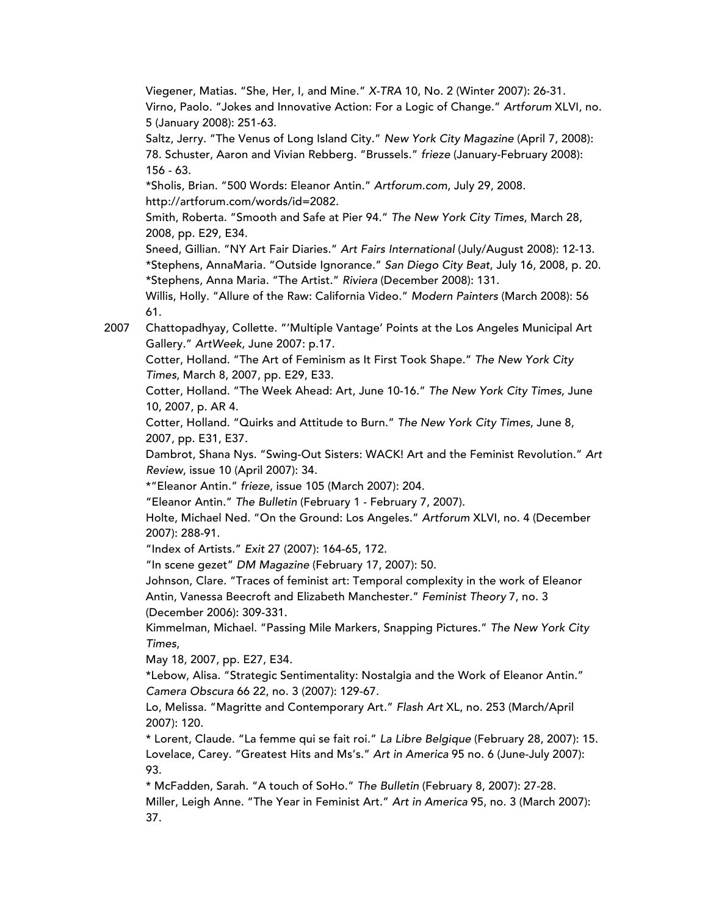Viegener, Matias. "She, Her, I, and Mine." *X-TRA* 10, No. 2 (Winter 2007): 26-31. Virno, Paolo. "Jokes and Innovative Action: For a Logic of Change." *Artforum* XLVI, no. 5 (January 2008): 251-63.

Saltz, Jerry. "The Venus of Long Island City." *New York City Magazine* (April 7, 2008): 78. Schuster, Aaron and Vivian Rebberg. "Brussels." *frieze* (January-February 2008): 156 - 63.

\*Sholis, Brian. "500 Words: Eleanor Antin." *Artforum.com*, July 29, 2008. http://artforum.com/words/id=2082.

Smith, Roberta. "Smooth and Safe at Pier 94." *The New York City Times*, March 28, 2008, pp. E29, E34.

Sneed, Gillian. "NY Art Fair Diaries." *Art Fairs International* (July/August 2008): 12-13. \*Stephens, AnnaMaria. "Outside Ignorance." *San Diego City Beat*, July 16, 2008, p. 20. \*Stephens, Anna Maria. "The Artist." *Riviera* (December 2008): 131.

Willis, Holly. "Allure of the Raw: California Video." *Modern Painters* (March 2008): 56 61.

2007 Chattopadhyay, Collette. "'Multiple Vantage' Points at the Los Angeles Municipal Art Gallery." *ArtWeek*, June 2007: p.17.

Cotter, Holland. "The Art of Feminism as It First Took Shape." *The New York City Times*, March 8, 2007, pp. E29, E33.

Cotter, Holland. "The Week Ahead: Art, June 10-16." *The New York City Times*, June 10, 2007, p. AR 4.

Cotter, Holland. "Quirks and Attitude to Burn." *The New York City Times*, June 8, 2007, pp. E31, E37.

Dambrot, Shana Nys. "Swing-Out Sisters: WACK! Art and the Feminist Revolution." *Art Review*, issue 10 (April 2007): 34.

\*"Eleanor Antin." *frieze*, issue 105 (March 2007): 204.

"Eleanor Antin." *The Bulletin* (February 1 - February 7, 2007).

Holte, Michael Ned. "On the Ground: Los Angeles." *Artforum* XLVI, no. 4 (December 2007): 288-91.

"Index of Artists." *Exit* 27 (2007): 164-65, 172.

"In scene gezet" *DM Magazine* (February 17, 2007): 50.

Johnson, Clare. "Traces of feminist art: Temporal complexity in the work of Eleanor Antin, Vanessa Beecroft and Elizabeth Manchester." *Feminist Theory* 7, no. 3 (December 2006): 309-331.

Kimmelman, Michael. "Passing Mile Markers, Snapping Pictures." *The New York City Times*,

May 18, 2007, pp. E27, E34.

\*Lebow, Alisa. "Strategic Sentimentality: Nostalgia and the Work of Eleanor Antin." *Camera Obscura* 66 22, no. 3 (2007): 129-67.

Lo, Melissa. "Magritte and Contemporary Art." *Flash Art* XL, no. 253 (March/April 2007): 120.

\* Lorent, Claude. "La femme qui se fait roi." *La Libre Belgique* (February 28, 2007): 15. Lovelace, Carey. "Greatest Hits and Ms's." *Art in America* 95 no. 6 (June-July 2007): 93.

\* McFadden, Sarah. "A touch of SoHo." *The Bulletin* (February 8, 2007): 27-28. Miller, Leigh Anne. "The Year in Feminist Art." *Art in America* 95, no. 3 (March 2007): 37.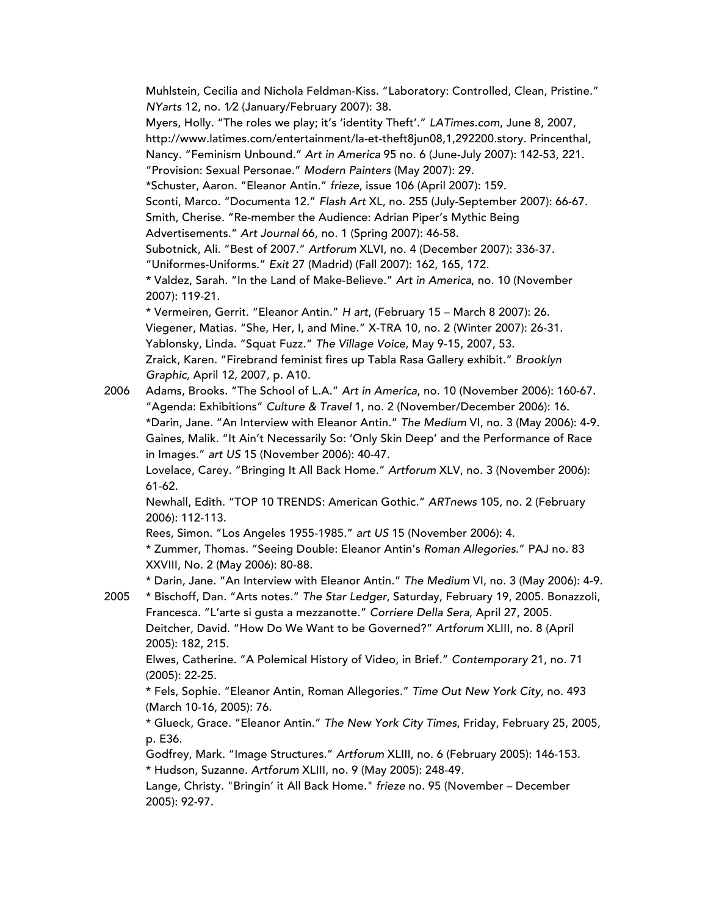Muhlstein, Cecilia and Nichola Feldman-Kiss. "Laboratory: Controlled, Clean, Pristine." *NYarts* 12, no. 1⁄2 (January/February 2007): 38. Myers, Holly. "The roles we play; it's 'identity Theft'." *LATimes.com*, June 8, 2007, http://www.latimes.com/entertainment/la-et-theft8jun08,1,292200.story. Princenthal, Nancy. "Feminism Unbound." *Art in America* 95 no. 6 (June-July 2007): 142-53, 221. "Provision: Sexual Personae." *Modern Painters* (May 2007): 29. \*Schuster, Aaron. "Eleanor Antin." *frieze*, issue 106 (April 2007): 159. Sconti, Marco. "Documenta 12." *Flash Art* XL, no. 255 (July-September 2007): 66-67. Smith, Cherise. "Re-member the Audience: Adrian Piper's Mythic Being Advertisements." *Art Journal* 66, no. 1 (Spring 2007): 46-58. Subotnick, Ali. "Best of 2007." *Artforum* XLVI, no. 4 (December 2007): 336-37. "Uniformes-Uniforms." *Exit* 27 (Madrid) (Fall 2007): 162, 165, 172. \* Valdez, Sarah. "In the Land of Make-Believe." *Art in America*, no. 10 (November 2007): 119-21. \* Vermeiren, Gerrit. "Eleanor Antin." *H art*, (February 15 – March 8 2007): 26. Viegener, Matias. "She, Her, I, and Mine." X-TRA 10, no. 2 (Winter 2007): 26-31. Yablonsky, Linda. "Squat Fuzz." *The Village Voice,* May 9-15, 2007, 53. Zraick, Karen. "Firebrand feminist fires up Tabla Rasa Gallery exhibit." *Brooklyn Graphic,* April 12, 2007, p. A10. 2006 Adams, Brooks. "The School of L.A." *Art in America*, no. 10 (November 2006): 160-67. "Agenda: Exhibitions" *Culture & Travel* 1, no. 2 (November/December 2006): 16. \*Darin, Jane. "An Interview with Eleanor Antin." *The Medium* VI, no. 3 (May 2006): 4-9. Gaines, Malik. "It Ain't Necessarily So: 'Only Skin Deep' and the Performance of Race in Images." *art US* 15 (November 2006): 40-47. Lovelace, Carey. "Bringing It All Back Home." *Artforum* XLV, no. 3 (November 2006): 61-62.

Newhall, Edith. "TOP 10 TRENDS: American Gothic." *ARTnews* 105*,* no. 2 (February 2006): 112-113.

Rees, Simon. "Los Angeles 1955-1985." *art US* 15 (November 2006): 4.

\* Zummer, Thomas. "Seeing Double: Eleanor Antin's *Roman Allegories*." PAJ no. 83 XXVIII, No. 2 (May 2006): 80-88.

\* Darin, Jane. "An Interview with Eleanor Antin." *The Medium* VI, no. 3 (May 2006): 4-9.

2005 \* Bischoff, Dan. "Arts notes." *The Star Ledger*, Saturday, February 19, 2005. Bonazzoli, Francesca. "L'arte si gusta a mezzanotte." *Corriere Della Sera*, April 27, 2005. Deitcher, David. "How Do We Want to be Governed?" *Artforum* XLIII, no. 8 (April 2005): 182, 215.

Elwes, Catherine. "A Polemical History of Video, in Brief." *Contemporary* 21, no. 71 (2005): 22-25.

\* Fels, Sophie. "Eleanor Antin, Roman Allegories." *Time Out New York City,* no. 493 (March 10-16, 2005): 76.

\* Glueck, Grace. "Eleanor Antin." *The New York City Times*, Friday, February 25, 2005, p. E36.

Godfrey, Mark. "Image Structures." *Artforum* XLIII, no. 6 (February 2005): 146-153. \* Hudson, Suzanne. *Artforum* XLIII, no. 9 (May 2005): 248-49.

Lange, Christy. "Bringin' it All Back Home." *frieze* no. 95 (November – December 2005): 92-97.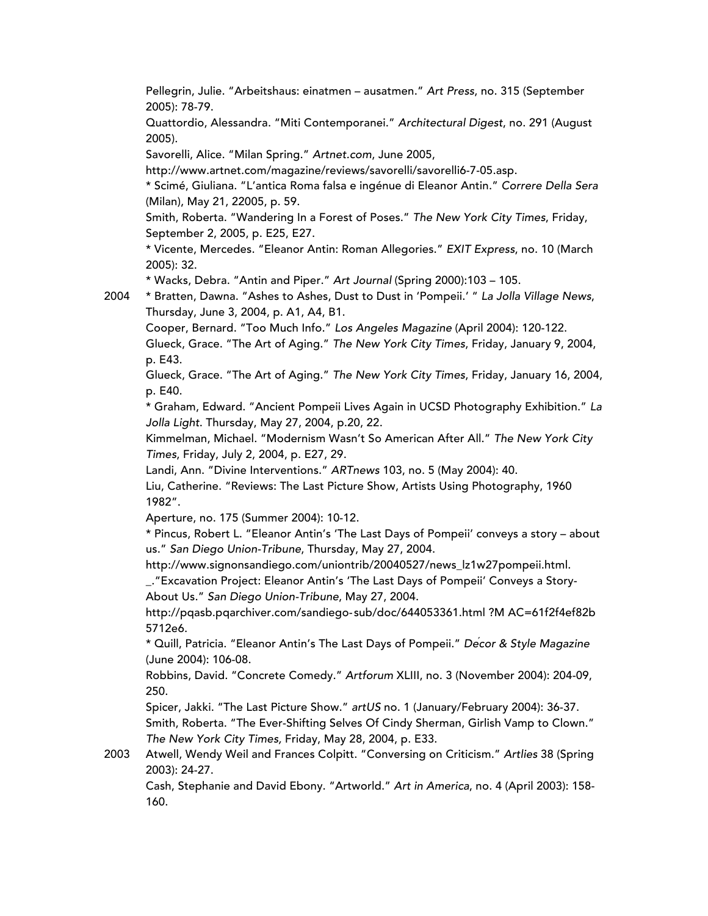Pellegrin, Julie. "Arbeitshaus: einatmen – ausatmen." *Art Press*, no. 315 (September 2005): 78-79.

Quattordio, Alessandra. "Miti Contemporanei." *Architectural Digest*, no. 291 (August 2005).

Savorelli, Alice. "Milan Spring." *Artnet.com*, June 2005,

http://www.artnet.com/magazine/reviews/savorelli/savorelli6-7-05.asp.

\* Scimé, Giuliana. "L'antica Roma falsa e ingénue di Eleanor Antin." *Correre Della Sera* (Milan), May 21, 22005, p. 59.

Smith, Roberta. "Wandering In a Forest of Poses." *The New York City Times*, Friday, September 2, 2005, p. E25, E27.

\* Vicente, Mercedes. "Eleanor Antin: Roman Allegories." *EXIT Express*, no. 10 (March 2005): 32.

\* Wacks, Debra. "Antin and Piper." *Art Journal* (Spring 2000):103 – 105.

2004 \* Bratten, Dawna. "Ashes to Ashes, Dust to Dust in 'Pompeii.' " *La Jolla Village News*, Thursday, June 3, 2004, p. A1, A4, B1.

Cooper, Bernard. "Too Much Info." *Los Angeles Magazine* (April 2004): 120-122.

Glueck, Grace. "The Art of Aging." *The New York City Times*, Friday, January 9, 2004, p. E43.

Glueck, Grace. "The Art of Aging." *The New York City Times*, Friday, January 16, 2004, p. E40.

\* Graham, Edward. "Ancient Pompeii Lives Again in UCSD Photography Exhibition." *La Jolla Light*. Thursday, May 27, 2004, p.20, 22.

Kimmelman, Michael. "Modernism Wasn't So American After All." *The New York City Times*, Friday, July 2, 2004, p. E27, 29.

Landi, Ann. "Divine Interventions." *ARTnews* 103, no. 5 (May 2004): 40.

Liu, Catherine. "Reviews: The Last Picture Show, Artists Using Photography, 1960 1982".

Aperture, no. 175 (Summer 2004): 10-12.

\* Pincus, Robert L. "Eleanor Antin's 'The Last Days of Pompeii' conveys a story – about us." *San Diego Union-Tribune*, Thursday, May 27, 2004.

http://www.signonsandiego.com/uniontrib/20040527/news\_lz1w27pompeii.html.

\_."Excavation Project: Eleanor Antin's 'The Last Days of Pompeii' Conveys a Story-About Us." *San Diego Union-Tribune*, May 27, 2004.

http://pqasb.pqarchiver.com/sandiego- sub/doc/644053361.html ?M AC=61f2f4ef82b 5712e6.

\* Quill, Patricia. "Eleanor Antin's The Last Days of Pompeii." *Décor & Style Magazine* (June 2004): 106-08.

Robbins, David. "Concrete Comedy." *Artforum* XLIII, no. 3 (November 2004): 204-09, 250.

Spicer, Jakki. "The Last Picture Show." *artUS* no. 1 (January/February 2004): 36-37. Smith, Roberta. "The Ever-Shifting Selves Of Cindy Sherman, Girlish Vamp to Clown." *The New York City Times,* Friday, May 28, 2004, p. E33.

2003 Atwell, Wendy Weil and Frances Colpitt. "Conversing on Criticism." *Artlies* 38 (Spring 2003): 24-27.

Cash, Stephanie and David Ebony. "Artworld." *Art in America*, no. 4 (April 2003): 158- 160.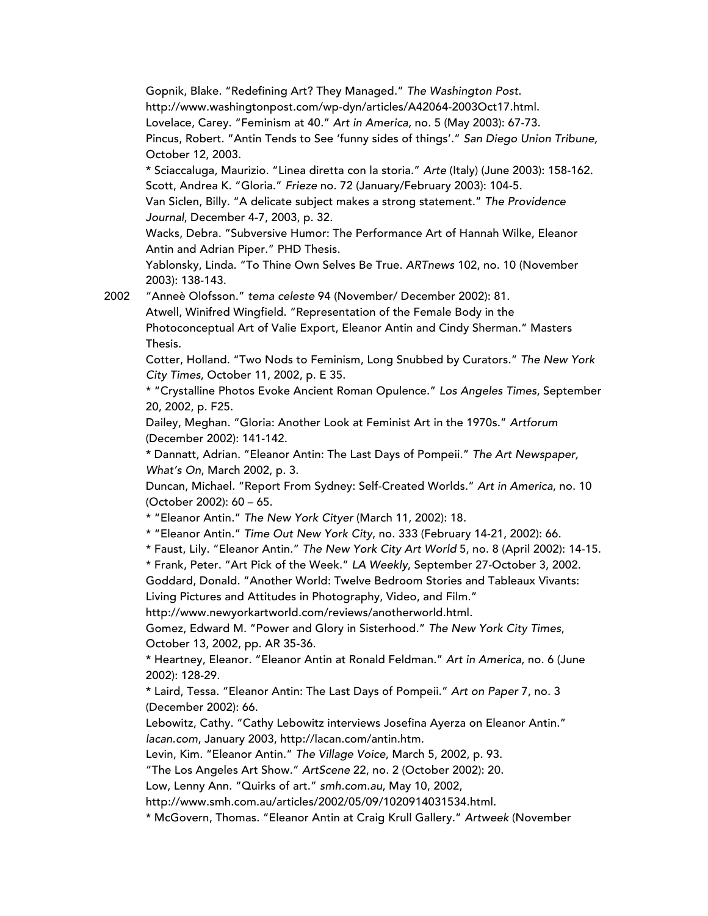Gopnik, Blake. "Redefining Art? They Managed." *The Washington Post*. http://www.washingtonpost.com/wp-dyn/articles/A42064-2003Oct17.html. Lovelace, Carey. "Feminism at 40." *Art in America,* no. 5 (May 2003): 67-73. Pincus, Robert. "Antin Tends to See 'funny sides of things'." *San Diego Union Tribune,* October 12, 2003. \* Sciaccaluga, Maurizio. "Linea diretta con la storia." *Arte* (Italy) (June 2003): 158-162. Scott, Andrea K. "Gloria." *Frieze* no. 72 (January/February 2003): 104-5. Van Siclen, Billy. "A delicate subject makes a strong statement." *The Providence Journal*, December 4-7, 2003, p. 32. Wacks, Debra. "Subversive Humor: The Performance Art of Hannah Wilke, Eleanor Antin and Adrian Piper." PHD Thesis. Yablonsky, Linda. "To Thine Own Selves Be True. *ARTnews* 102, no. 10 (November 2003): 138-143. 2002 "Anneè Olofsson." *tema celeste* 94 (November/ December 2002): 81. Atwell, Winifred Wingfield. "Representation of the Female Body in the Photoconceptual Art of Valie Export, Eleanor Antin and Cindy Sherman." Masters Thesis.

Cotter, Holland. "Two Nods to Feminism, Long Snubbed by Curators." *The New York City Times*, October 11, 2002, p. E 35.

\* "Crystalline Photos Evoke Ancient Roman Opulence." *Los Angeles Times*, September 20, 2002, p. F25.

Dailey, Meghan. "Gloria: Another Look at Feminist Art in the 1970s." *Artforum* (December 2002): 141-142.

\* Dannatt, Adrian. "Eleanor Antin: The Last Days of Pompeii." *The Art Newspaper, What's On*, March 2002, p. 3.

Duncan, Michael. "Report From Sydney: Self-Created Worlds." *Art in America*, no. 10 (October 2002): 60 – 65.

\* "Eleanor Antin." *The New York Cityer* (March 11, 2002): 18.

\* "Eleanor Antin." *Time Out New York City*, no. 333 (February 14-21, 2002): 66.

\* Faust, Lily. "Eleanor Antin." *The New York City Art World* 5, no. 8 (April 2002): 14-15.

\* Frank, Peter. "Art Pick of the Week." *LA Weekly*, September 27-October 3, 2002.

Goddard, Donald. "Another World: Twelve Bedroom Stories and Tableaux Vivants: Living Pictures and Attitudes in Photography, Video, and Film."

http://www.newyorkartworld.com/reviews/anotherworld.html.

Gomez, Edward M. "Power and Glory in Sisterhood." *The New York City Times*, October 13, 2002, pp. AR 35-36.

\* Heartney, Eleanor. "Eleanor Antin at Ronald Feldman." *Art in America*, no. 6 (June 2002): 128-29.

\* Laird, Tessa. "Eleanor Antin: The Last Days of Pompeii." *Art on Paper* 7, no. 3 (December 2002): 66.

Lebowitz, Cathy. "Cathy Lebowitz interviews Josefina Ayerza on Eleanor Antin." *lacan.com*, January 2003, http://lacan.com/antin.htm.

Levin, Kim. "Eleanor Antin." *The Village Voice*, March 5, 2002, p. 93.

"The Los Angeles Art Show." *ArtScene* 22, no. 2 (October 2002): 20.

Low, Lenny Ann. "Quirks of art." *smh.com.au*, May 10, 2002,

http://www.smh.com.au/articles/2002/05/09/1020914031534.html.

\* McGovern, Thomas. "Eleanor Antin at Craig Krull Gallery." *Artweek* (November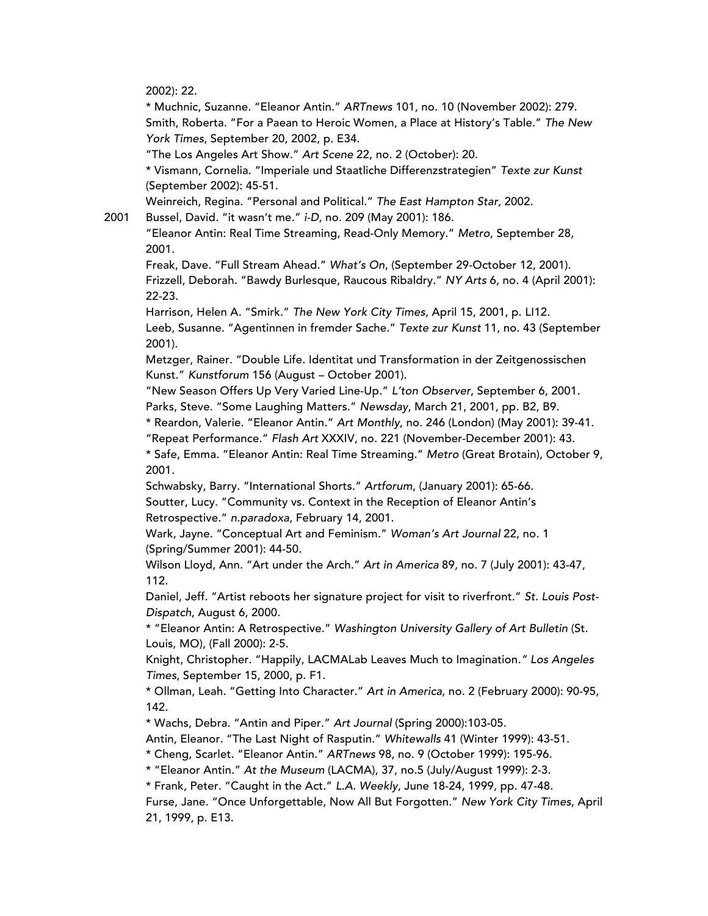2002): 22.

\* Muchnic, Suzanne. "Eleanor Antin." *ARTnews* 101, no. 10 (November 2002): 279. Smith, Roberta. "For a Paean to Heroic Women, a Place at History's Table." *The New York Times*, September 20, 2002, p. E34.

"The Los Angeles Art Show." *Art Scene* 22, no. 2 (October): 20.

\* Vismann, Cornelia. "Imperiale und Staatliche Differenzstrategien" *Texte zur Kunst* (September 2002): 45-51.

Weinreich, Regina. "Personal and Political." *The East Hampton Star,* 2002.

2001 Bussel, David. "it wasn't me." *i-D*, no. 209 (May 2001): 186.

"Eleanor Antin: Real Time Streaming, Read-Only Memory." *Metro*, September 28, 2001.

Freak, Dave. "Full Stream Ahead." *What's On*, (September 29-October 12, 2001). Frizzell, Deborah. "Bawdy Burlesque, Raucous Ribaldry." *NY Arts* 6, no. 4 (April 2001): 22-23.

Harrison, Helen A. "Smirk." *The New York City Times*, April 15, 2001, p. LI12. Leeb, Susanne. "Agentinnen in fremder Sache." *Texte zur Kunst* 11, no. 43 (September 2001).

Metzger, Rainer. "Double Life. Identitat und Transformation in der Zeitgenossischen Kunst." *Kunstforum* 156 (August – October 2001).

"New Season Offers Up Very Varied Line-Up." *L'ton Observer*, September 6, 2001.

Parks, Steve. "Some Laughing Matters." *Newsday*, March 21, 2001, pp. B2, B9.

\* Reardon, Valerie. "Eleanor Antin." *Art Monthly*, no. 246 (London) (May 2001): 39-41.

"Repeat Performance." *Flash Art* XXXIV, no. 221 (November-December 2001): 43.

\* Safe, Emma. "Eleanor Antin: Real Time Streaming." *Metro* (Great Brotain), October 9, 2001.

Schwabsky, Barry. "International Shorts." *Artforum*, (January 2001): 65-66. Soutter, Lucy. "Community vs. Context in the Reception of Eleanor Antin's Retrospective." *n.paradoxa*, February 14, 2001.

Wark, Jayne. "Conceptual Art and Feminism." *Woman's Art Journal* 22, no. 1 (Spring/Summer 2001): 44-50.

Wilson Lloyd, Ann. "Art under the Arch." *Art in America* 89, no. 7 (July 2001): 43-47, 112.

Daniel, Jeff. "Artist reboots her signature project for visit to riverfront." *St. Louis Post-Dispatch*, August 6, 2000.

\* "Eleanor Antin: A Retrospective." *Washington University Gallery of Art Bulletin* (St. Louis, MO), (Fall 2000): 2-5.

Knight, Christopher. "Happily, LACMALab Leaves Much to Imagination*." Los Angeles Times*, September 15, 2000, p. F1.

\* Ollman, Leah. "Getting Into Character." *Art in America*, no. 2 (February 2000): 90-95, 142.

\* Wachs, Debra. "Antin and Piper." *Art Journal* (Spring 2000):103-05.

Antin, Eleanor. "The Last Night of Rasputin." *Whitewalls* 41 (Winter 1999): 43-51.

\* Cheng, Scarlet. "Eleanor Antin." *ARTnews* 98, no. 9 (October 1999): 195-96.

\* "Eleanor Antin." *At the Museum* (LACMA), 37, no.5 (July/August 1999): 2-3.

\* Frank, Peter. "Caught in the Act." *L.A. Weekly*, June 18-24, 1999, pp. 47-48.

Furse, Jane. "Once Unforgettable, Now All But Forgotten." *New York City Times*, April 21, 1999, p. E13.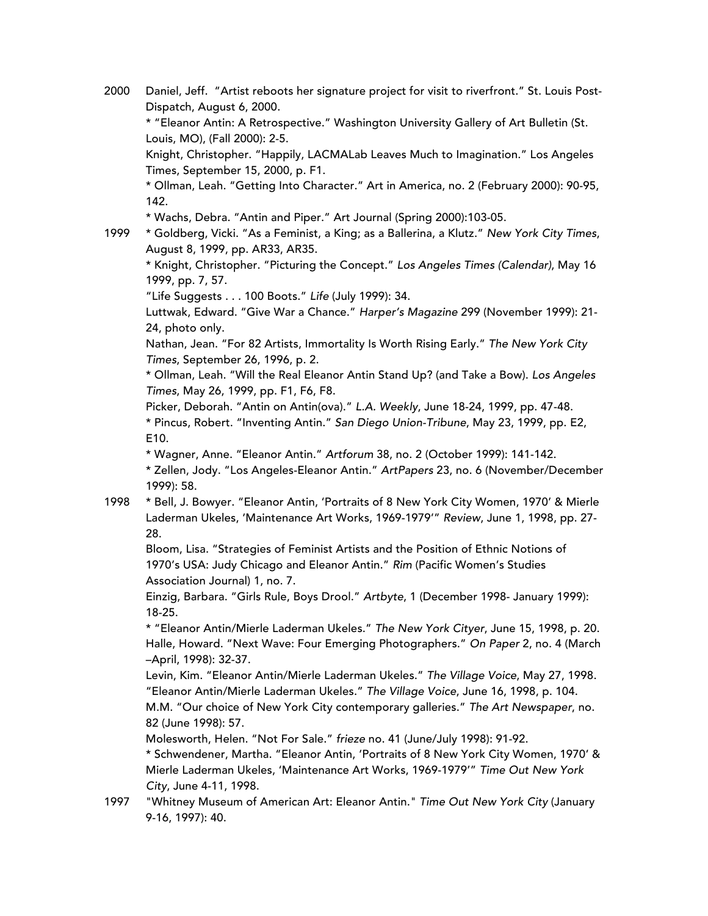2000 Daniel, Jeff. "Artist reboots her signature project for visit to riverfront." St. Louis Post-Dispatch, August 6, 2000.

\* "Eleanor Antin: A Retrospective." Washington University Gallery of Art Bulletin (St. Louis, MO), (Fall 2000): 2-5.

Knight, Christopher. "Happily, LACMALab Leaves Much to Imagination." Los Angeles Times, September 15, 2000, p. F1.

\* Ollman, Leah. "Getting Into Character." Art in America, no. 2 (February 2000): 90-95, 142.

- \* Wachs, Debra. "Antin and Piper." Art Journal (Spring 2000):103-05.
- 

1999 \* Goldberg, Vicki. "As a Feminist, a King; as a Ballerina, a Klutz." *New York City Times*, August 8, 1999, pp. AR33, AR35.

\* Knight, Christopher. "Picturing the Concept." *Los Angeles Times (Calendar)*, May 16 1999, pp. 7, 57.

"Life Suggests . . . 100 Boots." *Life* (July 1999): 34.

Luttwak, Edward. "Give War a Chance." *Harper's Magazine* 299 (November 1999): 21- 24, photo only.

Nathan, Jean. "For 82 Artists, Immortality Is Worth Rising Early." *The New York City Times*, September 26, 1996, p. 2.

\* Ollman, Leah. "Will the Real Eleanor Antin Stand Up? (and Take a Bow). *Los Angeles Times*, May 26, 1999, pp. F1, F6, F8.

Picker, Deborah. "Antin on Antin(ova)." *L.A. Weekly*, June 18-24, 1999, pp. 47-48. \* Pincus, Robert. "Inventing Antin." *San Diego Union-Tribune*, May 23, 1999, pp. E2, E10.

\* Wagner, Anne. "Eleanor Antin." *Artforum* 38, no. 2 (October 1999): 141-142.

\* Zellen, Jody. "Los Angeles-Eleanor Antin." *ArtPapers* 23, no. 6 (November/December 1999): 58.

1998 \* Bell, J. Bowyer. "Eleanor Antin, 'Portraits of 8 New York City Women, 1970' & Mierle Laderman Ukeles, 'Maintenance Art Works, 1969-1979'" *Review*, June 1, 1998, pp. 27- 28.

Bloom, Lisa. "Strategies of Feminist Artists and the Position of Ethnic Notions of 1970's USA: Judy Chicago and Eleanor Antin." *Rim* (Pacific Women's Studies Association Journal) 1, no. 7.

Einzig, Barbara. "Girls Rule, Boys Drool." *Artbyte*, 1 (December 1998- January 1999): 18-25.

\* "Eleanor Antin/Mierle Laderman Ukeles." *The New York Cityer*, June 15, 1998, p. 20. Halle, Howard. "Next Wave: Four Emerging Photographers." *On Paper* 2, no. 4 (March –April, 1998): 32-37.

Levin, Kim. "Eleanor Antin/Mierle Laderman Ukeles." *The Village Voice*, May 27, 1998. "Eleanor Antin/Mierle Laderman Ukeles." *The Village Voice*, June 16, 1998, p. 104.

M.M. "Our choice of New York City contemporary galleries." *The Art Newspaper*, no. 82 (June 1998): 57.

Molesworth, Helen. "Not For Sale." *frieze* no. 41 (June/July 1998): 91-92.

\* Schwendener, Martha. "Eleanor Antin, 'Portraits of 8 New York City Women, 1970' & Mierle Laderman Ukeles, 'Maintenance Art Works, 1969-1979'" *Time Out New York City*, June 4-11, 1998.

1997 "Whitney Museum of American Art: Eleanor Antin." *Time Out New York City* (January 9-16, 1997): 40.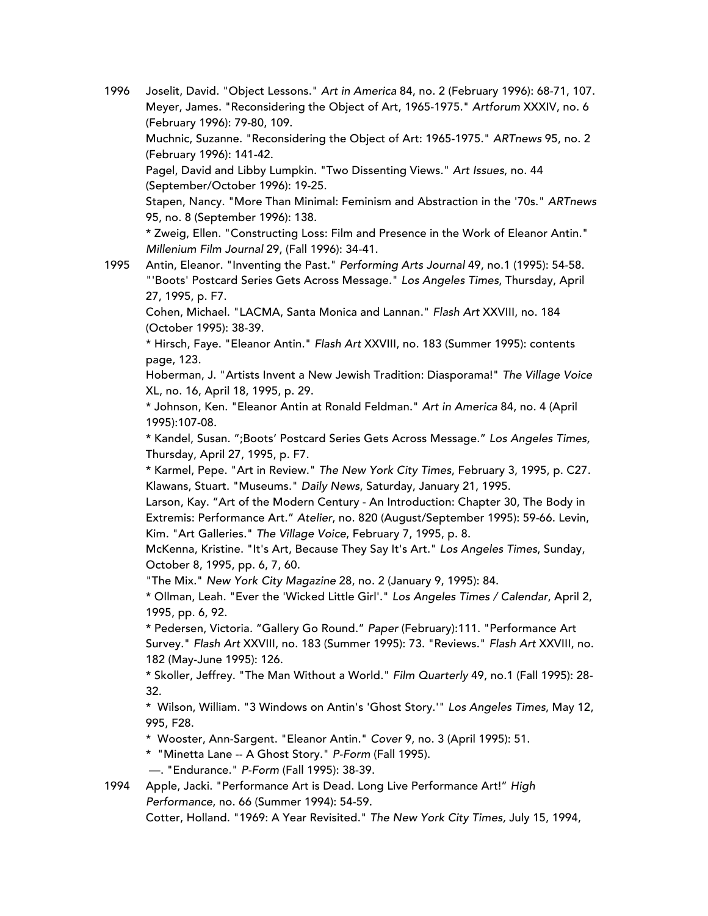- 1996 Joselit, David. "Object Lessons." *Art in America* 84, no. 2 (February 1996): 68-71, 107. Meyer, James. "Reconsidering the Object of Art, 1965-1975." *Artforum* XXXIV, no. 6 (February 1996): 79-80, 109. Muchnic, Suzanne. "Reconsidering the Object of Art: 1965-1975." *ARTnews* 95, no. 2 (February 1996): 141-42. Pagel, David and Libby Lumpkin. "Two Dissenting Views." *Art Issues*, no. 44 (September/October 1996): 19-25. Stapen, Nancy. "More Than Minimal: Feminism and Abstraction in the '70s." *ARTnews* 95, no. 8 (September 1996): 138. \* Zweig, Ellen. "Constructing Loss: Film and Presence in the Work of Eleanor Antin." *Millenium Film Journal* 29, (Fall 1996): 34-41.
- 1995 Antin, Eleanor. "Inventing the Past." *Performing Arts Journal* 49, no.1 (1995): 54-58. "'Boots' Postcard Series Gets Across Message." *Los Angeles Times*, Thursday, April 27, 1995, p. F7.

Cohen, Michael. "LACMA, Santa Monica and Lannan." *Flash Art* XXVIII, no. 184 (October 1995): 38-39.

\* Hirsch, Faye. "Eleanor Antin." *Flash Art* XXVIII, no. 183 (Summer 1995): contents page, 123.

Hoberman, J. "Artists Invent a New Jewish Tradition: Diasporama!" *The Village Voice* XL, no. 16, April 18, 1995, p. 29.

\* Johnson, Ken. "Eleanor Antin at Ronald Feldman." *Art in America* 84, no. 4 (April 1995):107-08.

\* Kandel, Susan. ";Boots' Postcard Series Gets Across Message." *Los Angeles Times,* Thursday, April 27, 1995, p. F7.

\* Karmel, Pepe. "Art in Review." *The New York City Times*, February 3, 1995, p. C27. Klawans, Stuart. "Museums." *Daily News*, Saturday, January 21, 1995.

Larson, Kay. "Art of the Modern Century - An Introduction: Chapter 30, The Body in Extremis: Performance Art." *Atelier*, no. 820 (August/September 1995): 59-66. Levin, Kim. "Art Galleries." *The Village Voice*, February 7, 1995, p. 8.

McKenna, Kristine. "It's Art, Because They Say It's Art." *Los Angeles Times*, Sunday, October 8, 1995, pp. 6, 7, 60.

"The Mix." *New York City Magazine* 28, no. 2 (January 9, 1995): 84.

\* Ollman, Leah. "Ever the 'Wicked Little Girl'." *Los Angeles Times / Calendar*, April 2, 1995, pp. 6, 92.

\* Pedersen, Victoria. "Gallery Go Round." *Paper* (February):111. "Performance Art Survey." *Flash Art* XXVIII, no. 183 (Summer 1995): 73. "Reviews." *Flash Art* XXVIII, no. 182 (May-June 1995): 126.

\* Skoller, Jeffrey. "The Man Without a World." *Film Quarterly* 49, no.1 (Fall 1995): 28- 32.

\* Wilson, William. "3 Windows on Antin's 'Ghost Story.'" *Los Angeles Times*, May 12, 995, F28.

\* Wooster, Ann-Sargent. "Eleanor Antin." *Cover* 9, no. 3 (April 1995): 51.

\* "Minetta Lane -- A Ghost Story." *P-Form* (Fall 1995).

—. "Endurance." *P-Form* (Fall 1995): 38-39.

1994 Apple, Jacki. "Performance Art is Dead. Long Live Performance Art!" *High Performance*, no. 66 (Summer 1994): 54-59.

Cotter, Holland. "1969: A Year Revisited." *The New York City Times,* July 15, 1994,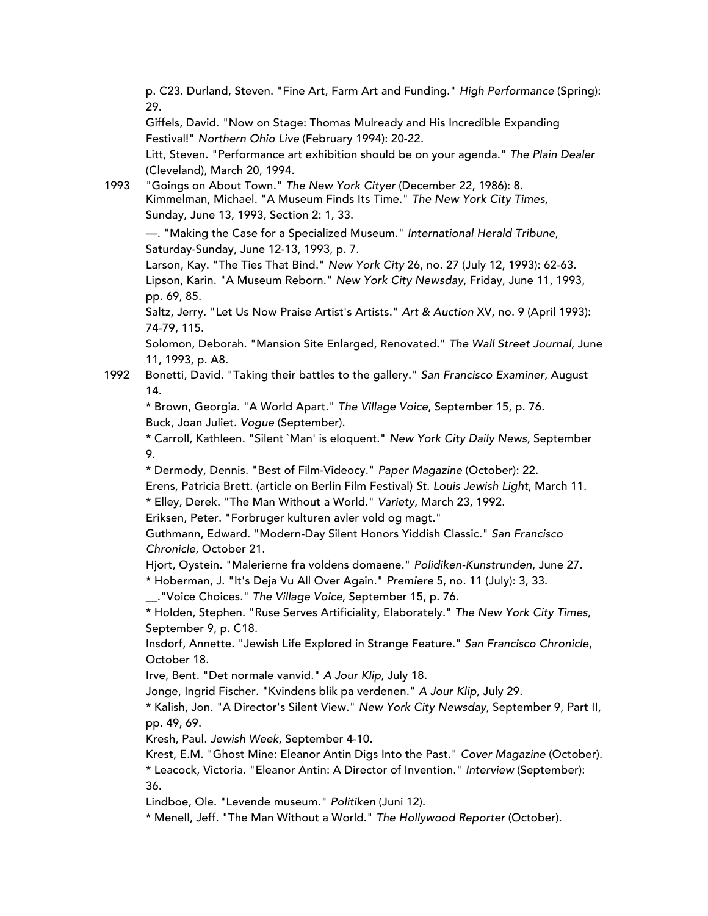p. C23. Durland, Steven. "Fine Art, Farm Art and Funding." *High Performance* (Spring): 29.

Giffels, David. "Now on Stage: Thomas Mulready and His Incredible Expanding Festival!" *Northern Ohio Live* (February 1994): 20-22.

Litt, Steven. "Performance art exhibition should be on your agenda." *The Plain Dealer* (Cleveland), March 20, 1994.

1993 "Goings on About Town." *The New York Cityer* (December 22, 1986): 8. Kimmelman, Michael. "A Museum Finds Its Time." *The New York City Times*, Sunday, June 13, 1993, Section 2: 1, 33.

—. "Making the Case for a Specialized Museum." *International Herald Tribune*, Saturday-Sunday, June 12-13, 1993, p. 7.

Larson, Kay. "The Ties That Bind." *New York City* 26, no. 27 (July 12, 1993): 62-63. Lipson, Karin. "A Museum Reborn." *New York City Newsday*, Friday, June 11, 1993, pp. 69, 85.

Saltz, Jerry. "Let Us Now Praise Artist's Artists." *Art & Auction* XV, no. 9 (April 1993): 74-79, 115.

Solomon, Deborah. "Mansion Site Enlarged, Renovated." *The Wall Street Journal*, June 11, 1993, p. A8.

1992 Bonetti, David. "Taking their battles to the gallery." *San Francisco Examiner*, August 14.

\* Brown, Georgia. "A World Apart." *The Village Voice*, September 15, p. 76. Buck, Joan Juliet. *Vogue* (September).

\* Carroll, Kathleen. "Silent `Man' is eloquent." *New York City Daily News*, September 9.

\* Dermody, Dennis. "Best of Film-Videocy." *Paper Magazine* (October): 22.

Erens, Patricia Brett. (article on Berlin Film Festival) *St. Louis Jewish Light*, March 11.

\* Elley, Derek. "The Man Without a World." *Variety*, March 23, 1992.

Eriksen, Peter. "Forbruger kulturen avler vold og magt."

Guthmann, Edward. "Modern-Day Silent Honors Yiddish Classic." *San Francisco Chronicle*, October 21.

Hjort, Oystein. "Malerierne fra voldens domaene." *Polidiken-Kunstrunden*, June 27. \* Hoberman, J. "It's Deja Vu All Over Again." *Premiere* 5, no. 11 (July): 3, 33.

\_\_."Voice Choices." *The Village Voice*, September 15, p. 76.

\* Holden, Stephen. "Ruse Serves Artificiality, Elaborately." *The New York City Times*, September 9, p. C18.

Insdorf, Annette. "Jewish Life Explored in Strange Feature." *San Francisco Chronicle*, October 18.

Irve, Bent. "Det normale vanvid." *A Jour Klip*, July 18.

Jonge, Ingrid Fischer. "Kvindens blik pa verdenen." *A Jour Klip*, July 29.

\* Kalish, Jon. "A Director's Silent View." *New York City Newsday*, September 9, Part II, pp. 49, 69.

Kresh, Paul. *Jewish Week*, September 4-10.

Krest, E.M. "Ghost Mine: Eleanor Antin Digs Into the Past." *Cover Magazine* (October). \* Leacock, Victoria. "Eleanor Antin: A Director of Invention." *Interview* (September): 36.

Lindboe, Ole. "Levende museum." *Politiken* (Juni 12).

\* Menell, Jeff. "The Man Without a World." *The Hollywood Reporter* (October).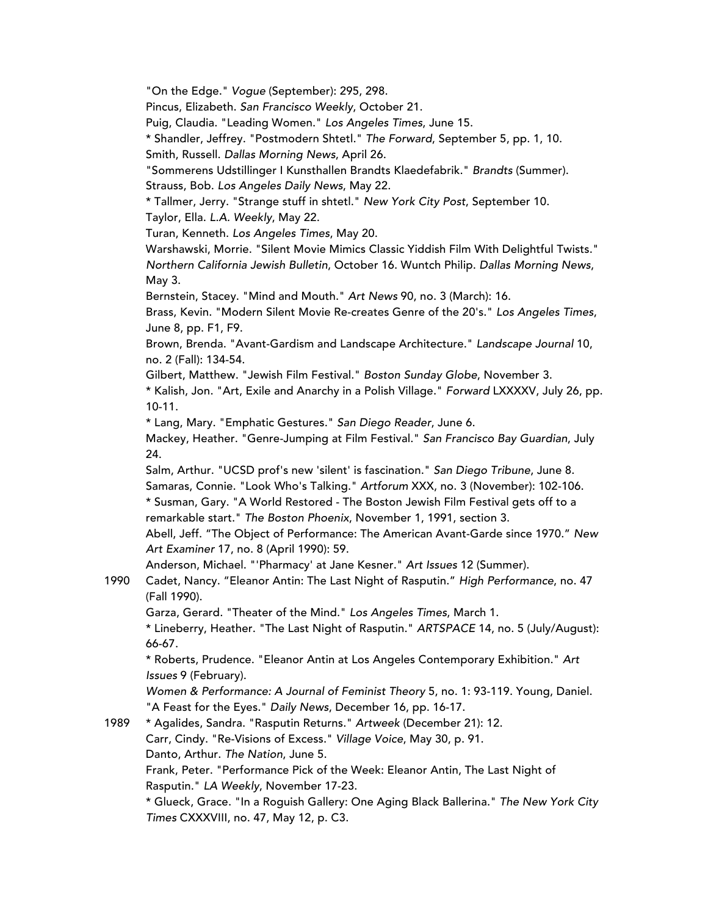"On the Edge." *Vogue* (September): 295, 298.

Pincus, Elizabeth. *San Francisco Weekly*, October 21.

Puig, Claudia. "Leading Women." *Los Angeles Times*, June 15.

\* Shandler, Jeffrey. "Postmodern Shtetl." *The Forward*, September 5, pp. 1, 10.

Smith, Russell. *Dallas Morning News*, April 26.

"Sommerens Udstillinger I Kunsthallen Brandts Klaedefabrik." *Brandts* (Summer). Strauss, Bob. *Los Angeles Daily News*, May 22.

\* Tallmer, Jerry. "Strange stuff in shtetl." *New York City Post*, September 10. Taylor, Ella. *L.A. Weekly*, May 22.

Turan, Kenneth. *Los Angeles Times*, May 20.

Warshawski, Morrie. "Silent Movie Mimics Classic Yiddish Film With Delightful Twists." *Northern California Jewish Bulletin*, October 16. Wuntch Philip. *Dallas Morning News*, May 3.

Bernstein, Stacey. "Mind and Mouth." *Art News* 90, no. 3 (March): 16.

Brass, Kevin. "Modern Silent Movie Re-creates Genre of the 20's." *Los Angeles Times*, June 8, pp. F1, F9.

Brown, Brenda. "Avant-Gardism and Landscape Architecture." *Landscape Journal* 10, no. 2 (Fall): 134-54.

Gilbert, Matthew. "Jewish Film Festival." *Boston Sunday Globe*, November 3.

\* Kalish, Jon. "Art, Exile and Anarchy in a Polish Village." *Forward* LXXXXV, July 26, pp. 10-11.

\* Lang, Mary. "Emphatic Gestures." *San Diego Reader*, June 6.

Mackey, Heather. "Genre-Jumping at Film Festival." *San Francisco Bay Guardian*, July 24.

Salm, Arthur. "UCSD prof's new 'silent' is fascination." *San Diego Tribune*, June 8. Samaras, Connie. "Look Who's Talking." *Artforum* XXX, no. 3 (November): 102-106. \* Susman, Gary. "A World Restored - The Boston Jewish Film Festival gets off to a

remarkable start." *The Boston Phoenix*, November 1, 1991, section 3.

Abell, Jeff. "The Object of Performance: The American Avant-Garde since 1970." *New Art Examiner* 17, no. 8 (April 1990): 59.

Anderson, Michael. "'Pharmacy' at Jane Kesner." *Art Issues* 12 (Summer).

1990 Cadet, Nancy. "Eleanor Antin: The Last Night of Rasputin." *High Performance*, no. 47 (Fall 1990).

Garza, Gerard. "Theater of the Mind." *Los Angeles Times*, March 1.

\* Lineberry, Heather. "The Last Night of Rasputin." *ARTSPACE* 14, no. 5 (July/August): 66-67.

\* Roberts, Prudence. "Eleanor Antin at Los Angeles Contemporary Exhibition." *Art Issues* 9 (February).

*Women & Performance: A Journal of Feminist Theory* 5, no. 1: 93-119. Young, Daniel. "A Feast for the Eyes." *Daily News*, December 16, pp. 16-17.

1989 \* Agalides, Sandra. "Rasputin Returns." *Artweek* (December 21): 12. Carr, Cindy. "Re-Visions of Excess." *Village Voice*, May 30, p. 91. Danto, Arthur. *The Nation*, June 5. Frank, Peter. "Performance Pick of the Week: Eleanor Antin, The Last Night of Rasputin." *LA Weekly*, November 17-23. \* Glueck, Grace. "In a Roguish Gallery: One Aging Black Ballerina." *The New York City Times* CXXXVIII, no. 47, May 12, p. C3.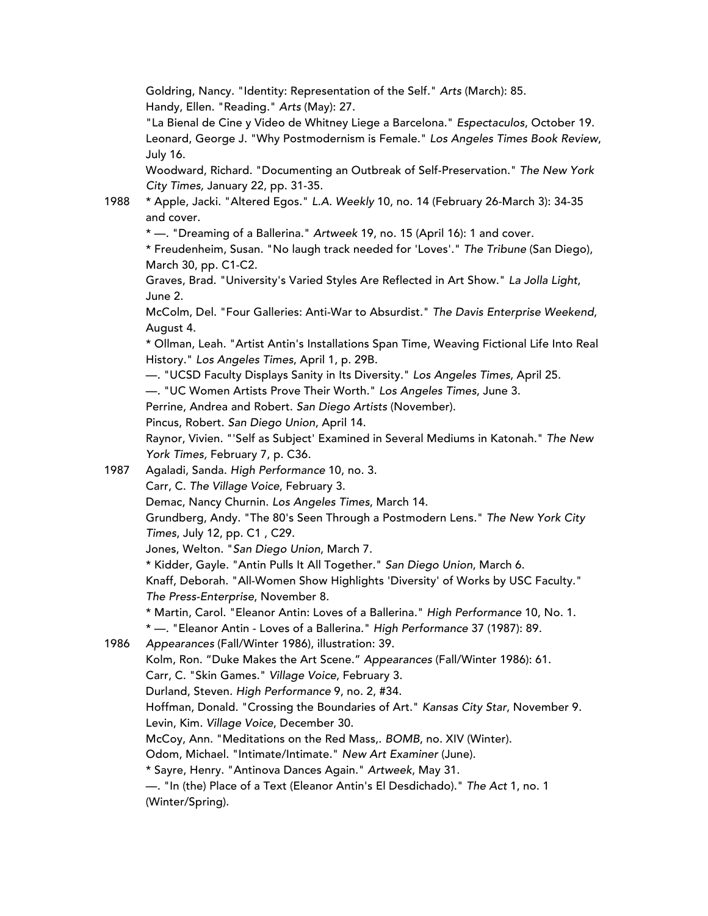Goldring, Nancy. "Identity: Representation of the Self." *Arts* (March): 85. Handy, Ellen. "Reading." *Arts* (May): 27.

"La Bienal de Cine y Video de Whitney Liege a Barcelona." *Espectaculos*, October 19. Leonard, George J. "Why Postmodernism is Female." *Los Angeles Times Book Review*, July 16.

Woodward, Richard. "Documenting an Outbreak of Self-Preservation." *The New York City Times,* January 22, pp. 31-35.

1988 \* Apple, Jacki. "Altered Egos." *L.A. Weekly* 10, no. 14 (February 26-March 3): 34-35 and cover.

\* —. "Dreaming of a Ballerina." *Artweek* 19, no. 15 (April 16): 1 and cover.

\* Freudenheim, Susan. "No laugh track needed for 'Loves'." *The Tribune* (San Diego), March 30, pp. C1-C2.

Graves, Brad. "University's Varied Styles Are Reflected in Art Show." *La Jolla Light*, June 2.

McColm, Del. "Four Galleries: Anti-War to Absurdist." *The Davis Enterprise Weekend*, August 4.

\* Ollman, Leah. "Artist Antin's Installations Span Time, Weaving Fictional Life Into Real History." *Los Angeles Times*, April 1, p. 29B.

—. "UCSD Faculty Displays Sanity in Its Diversity." *Los Angeles Times*, April 25.

—. "UC Women Artists Prove Their Worth." *Los Angeles Times*, June 3.

Perrine, Andrea and Robert. *San Diego Artists* (November).

Pincus, Robert. *San Diego Union*, April 14.

Raynor, Vivien. "'Self as Subject' Examined in Several Mediums in Katonah." *The New York Times,* February 7, p. C36.

1987 Agaladi, Sanda. *High Performance* 10, no. 3.

Carr, C. *The Village Voice*, February 3.

Demac, Nancy Churnin. *Los Angeles Times*, March 14.

Grundberg, Andy. "The 80's Seen Through a Postmodern Lens." *The New York City Times*, July 12, pp. C1 , C29.

Jones, Welton. "*San Diego Union*, March 7.

\* Kidder, Gayle. "Antin Pulls It All Together." *San Diego Union*, March 6.

Knaff, Deborah. "All-Women Show Highlights 'Diversity' of Works by USC Faculty." *The Press-Enterprise*, November 8.

\* Martin, Carol. "Eleanor Antin: Loves of a Ballerina." *High Performance* 10, No. 1.

\* —. "Eleanor Antin - Loves of a Ballerina." *High Performance* 37 (1987): 89.

1986 *Appearances* (Fall/Winter 1986), illustration: 39.

Kolm, Ron. "Duke Makes the Art Scene." *Appearances* (Fall/Winter 1986): 61.

Carr, C. "Skin Games." *Village Voice*, February 3.

Durland, Steven*. High Performance* 9, no. 2, #34.

Hoffman, Donald. "Crossing the Boundaries of Art." *Kansas City Star*, November 9. Levin, Kim*. Village Voice*, December 30.

McCoy, Ann. "Meditations on the Red Mass,. *BOMB*, no. XIV (Winter).

Odom, Michael. "Intimate/Intimate." *New Art Examiner* (June).

\* Sayre, Henry. "Antinova Dances Again." *Artweek*, May 31.

—. "In (the) Place of a Text (Eleanor Antin's El Desdichado)." *The Act* 1, no. 1 (Winter/Spring).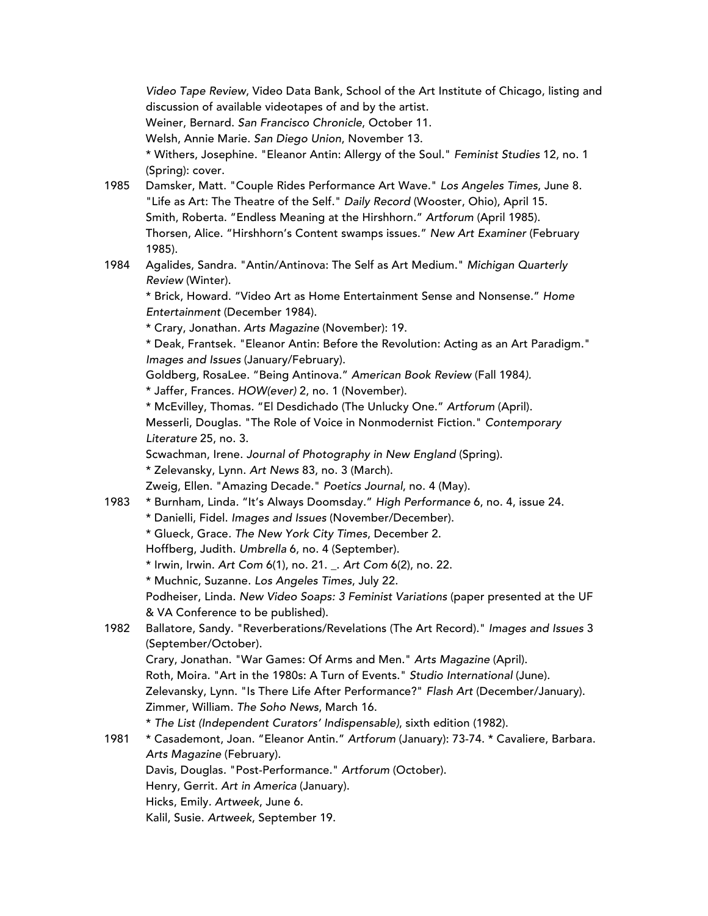*Video Tape Review*, Video Data Bank, School of the Art Institute of Chicago, listing and discussion of available videotapes of and by the artist.

Weiner, Bernard. *San Francisco Chronicle*, October 11.

Welsh, Annie Marie. *San Diego Union*, November 13.

\* Withers, Josephine. "Eleanor Antin: Allergy of the Soul." *Feminist Studies* 12, no. 1 (Spring): cover.

- 1985 Damsker, Matt. "Couple Rides Performance Art Wave." *Los Angeles Times*, June 8*.* "Life as Art: The Theatre of the Self." *Daily Record* (Wooster, Ohio), April 15. Smith, Roberta. "Endless Meaning at the Hirshhorn." *Artforum* (April 1985). Thorsen, Alice. "Hirshhorn's Content swamps issues." *New Art Examiner* (February 1985).
- 1984 Agalides, Sandra. "Antin/Antinova: The Self as Art Medium." *Michigan Quarterly Review* (Winter).

\* Brick, Howard. "Video Art as Home Entertainment Sense and Nonsense." *Home Entertainment* (December 1984).

\* Crary, Jonathan*. Arts Magazine* (November): 19.

\* Deak, Frantsek. "Eleanor Antin: Before the Revolution: Acting as an Art Paradigm." *Images and Issues* (January/February).

Goldberg, RosaLee*.* "Being Antinova." *American Book Review* (Fall 1984*).*

\* Jaffer, Frances*. HOW(ever)* 2, no. 1 (November).

\* McEvilley, Thomas*.* "El Desdichado (The Unlucky One." *Artforum* (April). Messerli, Douglas. "The Role of Voice in Nonmodernist Fiction." *Contemporary Literature* 25, no. 3.

Scwachman, Irene. *Journal of Photography in New England* (Spring).

\* Zelevansky, Lynn. *Art News* 83, no. 3 (March).

Zweig, Ellen. "Amazing Decade." *Poetics Journal*, no. 4 (May).

- 1983 \* Burnham, Linda*.* "It's Always Doomsday." *High Performance* 6, no. 4, issue 24.
	- \* Danielli, Fidel. *Images and Issues* (November/December).

\* Glueck, Grace*. The New York City Times*, December 2.

Hoffberg, Judith*. Umbrella* 6, no. 4 (September).

\* Irwin, Irwin. *Art Com* 6(1), no. 21. \_. *Art Com* 6(2), no. 22.

\* Muchnic, Suzanne. *Los Angeles Times*, July 22.

Podheiser, Linda. *New Video Soaps: 3 Feminist Variations* (paper presented at the UF & VA Conference to be published).

1982 Ballatore, Sandy. "Reverberations/Revelations (The Art Record)." *Images and Issues* 3 (September/October).

Crary, Jonathan. "War Games: Of Arms and Men." *Arts Magazine* (April).

Roth, Moira. "Art in the 1980s: A Turn of Events." *Studio International* (June).

Zelevansky, Lynn. "Is There Life After Performance?" *Flash Art* (December/January). Zimmer, William. *The Soho News*, March 16.

\* *The List (Independent Curators' Indispensable)*, sixth edition (1982).

1981 \* Casademont, Joan. "Eleanor Antin." *Artforum* (January): 73-74. \* Cavaliere, Barbara. *Arts Magazine* (February).

Davis, Douglas*.* "Post-Performance." *Artforum* (October).

Henry, Gerrit. *Art in America* (January).

Hicks, Emily*. Artweek*, June 6.

Kalil, Susie. *Artweek*, September 19.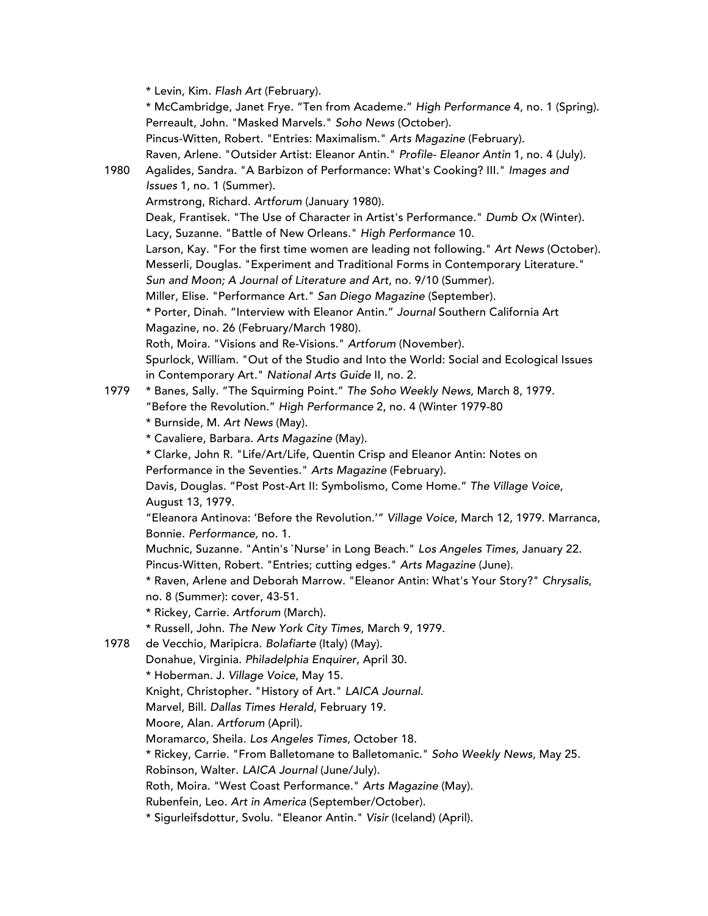\* Levin, Kim. *Flash Art* (February). \* McCambridge, Janet Frye. "Ten from Academe." *High Performance* 4, no. 1 (Spring). Perreault, John. "Masked Marvels." *Soho News* (October). Pincus-Witten, Robert. "Entries: Maximalism." *Arts Magazine* (February). Raven, Arlene. "Outsider Artist: Eleanor Antin." *Profile- Eleanor Antin* 1, no. 4 (July). 1980 Agalides, Sandra. "A Barbizon of Performance: What's Cooking? III." *Images and Issues* 1, no. 1 (Summer). Armstrong, Richard. *Artforum* (January 1980). Deak, Frantisek. "The Use of Character in Artist's Performance." *Dumb Ox* (Winter). Lacy, Suzanne. "Battle of New Orleans." *High Performance* 10. Larson, Kay. "For the first time women are leading not following." *Art News* (October). Messerli, Douglas. "Experiment and Traditional Forms in Contemporary Literature." *Sun and Moon; A Journal of Literature and Art*, no. 9/10 (Summer). Miller, Elise. "Performance Art." *San Diego Magazine* (September). \* Porter, Dinah. "Interview with Eleanor Antin." *Journal* Southern California Art Magazine, no. 26 (February/March 1980). Roth, Moira. "Visions and Re-Visions." *Artforum* (November). Spurlock, William. "Out of the Studio and Into the World: Social and Ecological Issues in Contemporary Art." *National Arts Guide* II, no. 2. 1979 \* Banes, Sally. "The Squirming Point." *The Soho Weekly News*, March 8, 1979. "Before the Revolution." *High Performance* 2, no. 4 (Winter 1979-80 \* Burnside, M. *Art News* (May). \* Cavaliere, Barbara. *Arts Magazine* (May). \* Clarke, John R. "Life/Art/Life, Quentin Crisp and Eleanor Antin: Notes on Performance in the Seventies." *Arts Magazine* (February). Davis, Douglas. "Post Post-Art II: Symbolismo, Come Home." *The Village Voice*, August 13, 1979. "Eleanora Antinova: 'Before the Revolution.'" *Village Voice*, March 12, 1979. Marranca, Bonnie. *Performance,* no. 1. Muchnic, Suzanne. "Antin's `Nurse' in Long Beach." *Los Angeles Times*, January 22. Pincus-Witten, Robert. "Entries; cutting edges." *Arts Magazine* (June). \* Raven, Arlene and Deborah Marrow. "Eleanor Antin: What's Your Story?" *Chrysalis*, no. 8 (Summer): cover, 43-51. \* Rickey, Carrie. *Artforum* (March). \* Russell, John. *The New York City Times*, March 9, 1979. 1978 de Vecchio, Maripicra. *Bolafiarte* (Italy) (May). Donahue, Virginia. *Philadelphia Enquirer*, April 30. \* Hoberman. J. *Village Voice*, May 15. Knight, Christopher. "History of Art." *LAICA Journal*. Marvel, Bill. *Dallas Times Herald*, February 19. Moore, Alan. *Artforum* (April). Moramarco, Sheila. *Los Angeles Times*, October 18. \* Rickey, Carrie. "From Balletomane to Balletomanic." *Soho Weekly News*, May 25. Robinson, Walter. *LAICA Journal* (June/July). Roth, Moira. "West Coast Performance." *Arts Magazine* (May). Rubenfein, Leo. *Art in America* (September/October). \* Sigurleifsdottur, Svolu. "Eleanor Antin." *Visir* (Iceland) (April).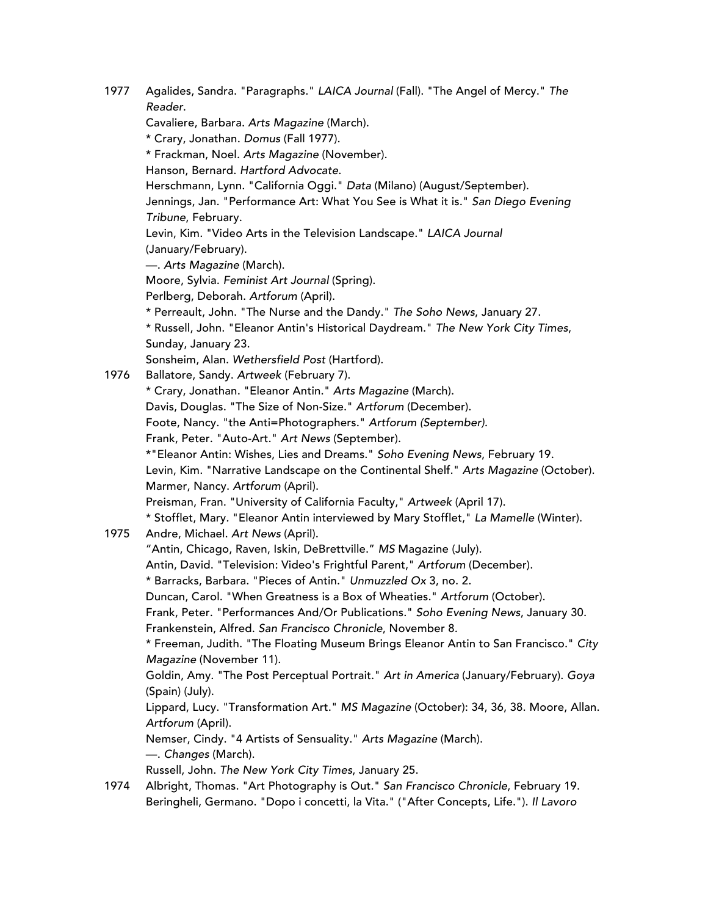1977 Agalides, Sandra. "Paragraphs." *LAICA Journal* (Fall). "The Angel of Mercy." *The Reader*. Cavaliere, Barbara. *Arts Magazine* (March). \* Crary, Jonathan. *Domus* (Fall 1977). \* Frackman, Noel. *Arts Magazine* (November). Hanson, Bernard. *Hartford Advocate*. Herschmann, Lynn. "California Oggi." *Data* (Milano) (August/September). Jennings, Jan. "Performance Art: What You See is What it is." *San Diego Evening Tribune*, February. Levin, Kim. "Video Arts in the Television Landscape." *LAICA Journal* (January/February). —. *Arts Magazine* (March). Moore, Sylvia. *Feminist Art Journal* (Spring). Perlberg, Deborah. *Artforum* (April). \* Perreault, John. "The Nurse and the Dandy." *The Soho News*, January 27. \* Russell, John. "Eleanor Antin's Historical Daydream." *The New York City Times*, Sunday, January 23. Sonsheim, Alan. *Wethersfield Post* (Hartford). 1976 Ballatore, Sandy. *Artweek* (February 7). \* Crary, Jonathan. "Eleanor Antin." *Arts Magazine* (March). Davis, Douglas. "The Size of Non-Size." *Artforum* (December). Foote, Nancy. "the Anti=Photographers." *Artforum (September).* Frank, Peter. "Auto-Art." *Art News* (September). \*"Eleanor Antin: Wishes, Lies and Dreams." *Soho Evening News*, February 19. Levin, Kim. "Narrative Landscape on the Continental Shelf." *Arts Magazine* (October). Marmer, Nancy. *Artforum* (April). Preisman, Fran. "University of California Faculty," *Artweek* (April 17). \* Stofflet, Mary*.* "Eleanor Antin interviewed by Mary Stofflet," *La Mamelle* (Winter). 1975 Andre, Michael. *Art News* (April). "Antin, Chicago, Raven, Iskin, DeBrettville." *MS* Magazine (July). Antin, David. "Television: Video's Frightful Parent," *Artforum* (December). \* Barracks, Barbara. "Pieces of Antin." *Unmuzzled Ox* 3, no. 2. Duncan, Carol. "When Greatness is a Box of Wheaties." *Artforum* (October). Frank, Peter. "Performances And/Or Publications." *Soho Evening News*, January 30. Frankenstein, Alfred. *San Francisco Chronicle*, November 8. \* Freeman, Judith. "The Floating Museum Brings Eleanor Antin to San Francisco." *City Magazine* (November 11). Goldin, Amy. "The Post Perceptual Portrait." *Art in America* (January/February). *Goya* (Spain) (July). Lippard, Lucy. "Transformation Art." *MS Magazine* (October): 34, 36, 38. Moore, Allan. *Artforum* (April). Nemser, Cindy. "4 Artists of Sensuality." *Arts Magazine* (March). —. *Changes* (March). Russell, John. *The New York City Times*, January 25. 1974 Albright, Thomas. "Art Photography is Out." *San Francisco Chronicle*, February 19.

Beringheli, Germano. "Dopo i concetti, la Vita." ("After Concepts, Life."). *Il Lavoro*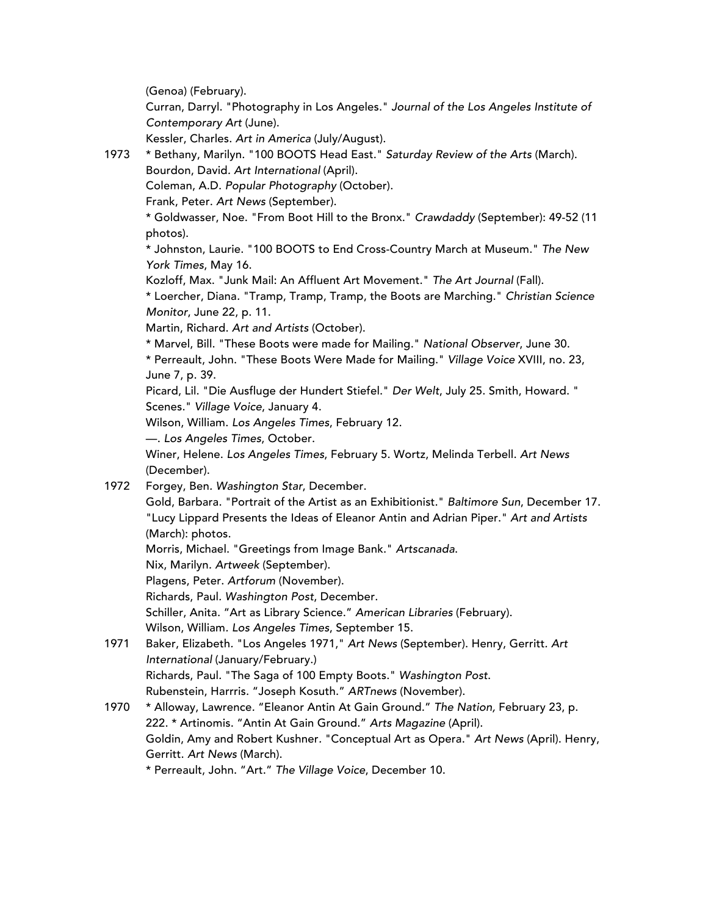(Genoa) (February).

Curran, Darryl. "Photography in Los Angeles." *Journal of the Los Angeles Institute of Contemporary Art* (June).

Kessler, Charles. *Art in America* (July/August).

1973 \* Bethany, Marilyn. "100 BOOTS Head East." *Saturday Review of the Arts* (March).

Bourdon, David*. Art International* (April).

Coleman, A.D. *Popular Photography* (October).

Frank, Peter. *Art News* (September).

\* Goldwasser, Noe. "From Boot Hill to the Bronx." *Crawdaddy* (September): 49-52 (11 photos).

\* Johnston, Laurie. "100 BOOTS to End Cross-Country March at Museum." *The New York Times*, May 16.

Kozloff, Max. "Junk Mail: An Affluent Art Movement." *The Art Journal* (Fall).

\* Loercher, Diana*.* "Tramp, Tramp, Tramp, the Boots are Marching." *Christian Science Monitor*, June 22, p. 11.

Martin, Richard. *Art and Artists* (October).

\* Marvel, Bill. "These Boots were made for Mailing." *National Observer*, June 30.

\* Perreault, John. "These Boots Were Made for Mailing." *Village Voice* XVIII, no. 23, June 7, p. 39.

Picard, Lil. "Die Ausfluge der Hundert Stiefel." *Der Welt*, July 25. Smith, Howard. " Scenes." *Village Voice*, January 4.

Wilson, William. *Los Angeles Times*, February 12.

—. *Los Angeles Times*, October.

Winer, Helene. *Los Angeles Times*, February 5. Wortz, Melinda Terbell. *Art News* (December).

1972 Forgey, Ben*. Washington Star*, December.

Gold, Barbara. "Portrait of the Artist as an Exhibitionist." *Baltimore Sun*, December 17. "Lucy Lippard Presents the Ideas of Eleanor Antin and Adrian Piper." *Art and Artists* (March): photos.

Morris, Michael. "Greetings from Image Bank." *Artscanada*.

Nix, Marilyn*. Artweek* (September).

Plagens, Peter. *Artforum* (November).

Richards, Paul*. Washington Post*, December.

Schiller, Anita. "Art as Library Science." *American Libraries* (February).

Wilson, William*. Los Angeles Times*, September 15.

- 1971 Baker, Elizabeth*.* "Los Angeles 1971," *Art News* (September). Henry, Gerritt*. Art International* (January/February.) Richards, Paul*.* "The Saga of 100 Empty Boots." *Washington Post*. Rubenstein, Harrris. "Joseph Kosuth." *ARTnews* (November).
- 1970 \* Alloway, Lawrence*.* "Eleanor Antin At Gain Ground." *The Nation,* February 23, p. 222. \* Artinomis. "Antin At Gain Ground." *Arts Magazine* (April). Goldin, Amy and Robert Kushner*.* "Conceptual Art as Opera." *Art News* (April). Henry, Gerritt. *Art News* (March).

\* Perreault, John. "Art." *The Village Voice*, December 10.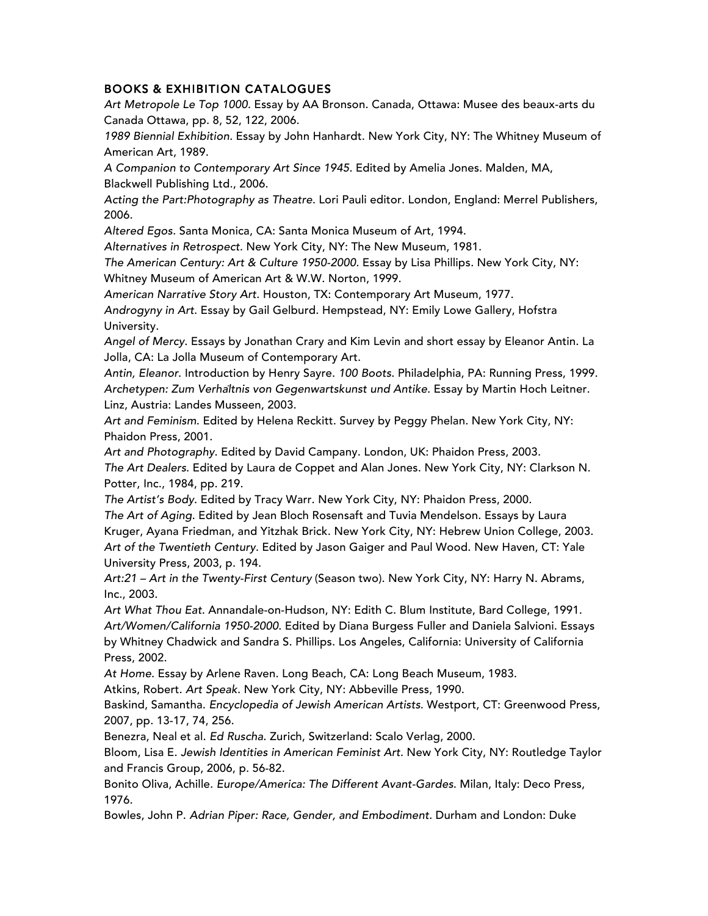## BOOKS & EXHIBITION CATALOGUES

*Art Metropole Le Top 1000.* Essay by AA Bronson. Canada, Ottawa: Musee des beaux-arts du Canada Ottawa, pp. 8, 52, 122, 2006.

*1989 Biennial Exhibition.* Essay by John Hanhardt. New York City, NY: The Whitney Museum of American Art, 1989.

*A Companion to Contemporary Art Since 1945.* Edited by Amelia Jones. Malden, MA, Blackwell Publishing Ltd., 2006.

*Acting the Part:Photography as Theatre.* Lori Pauli editor. London, England: Merrel Publishers, 2006.

*Altered Egos.* Santa Monica, CA: Santa Monica Museum of Art, 1994.

*Alternatives in Retrospect.* New York City, NY: The New Museum, 1981.

*The American Century: Art & Culture 1950-2000.* Essay by Lisa Phillips*.* New York City, NY:

Whitney Museum of American Art & W.W. Norton, 1999.

*American Narrative Story Art.* Houston, TX: Contemporary Art Museum, 1977.

*Androgyny in Art*. Essay by Gail Gelburd. Hempstead, NY: Emily Lowe Gallery, Hofstra University.

*Angel of Mercy*. Essays by Jonathan Crary and Kim Levin and short essay by Eleanor Antin. La Jolla, CA: La Jolla Museum of Contemporary Art.

*Antin, Eleanor*. Introduction by Henry Sayre. *100 Boots*. Philadelphia, PA: Running Press, 1999. *Archetypen: Zum Verhältnis von Gegenwartskunst und Antike*. Essay by Martin Hoch Leitner. Linz, Austria: Landes Musseen, 2003.

*Art and Feminism*. Edited by Helena Reckitt. Survey by Peggy Phelan. New York City, NY: Phaidon Press, 2001.

*Art and Photography*. Edited by David Campany. London, UK: Phaidon Press, 2003. *The Art Dealers*. Edited by Laura de Coppet and Alan Jones. New York City, NY: Clarkson N. Potter, Inc., 1984, pp. 219.

*The Artist's Body*. Edited by Tracy Warr. New York City, NY: Phaidon Press, 2000.

*The Art of Aging.* Edited by Jean Bloch Rosensaft and Tuvia Mendelson. Essays by Laura Kruger, Ayana Friedman, and Yitzhak Brick. New York City, NY: Hebrew Union College, 2003. *Art of the Twentieth Century.* Edited by Jason Gaiger and Paul Wood. New Haven, CT: Yale University Press, 2003, p. 194.

*Art:21 – Art in the Twenty-First Century* (Season two). New York City, NY: Harry N. Abrams, Inc., 2003.

*Art What Thou Eat*. Annandale-on-Hudson, NY: Edith C. Blum Institute, Bard College, 1991. *Art/Women/California 1950-2000*. Edited by Diana Burgess Fuller and Daniela Salvioni. Essays by Whitney Chadwick and Sandra S. Phillips. Los Angeles, California: University of California Press, 2002.

*At Home*. Essay by Arlene Raven. Long Beach, CA: Long Beach Museum, 1983.

Atkins, Robert. *Art Speak*. New York City, NY: Abbeville Press, 1990.

Baskind, Samantha. *Encyclopedia of Jewish American Artists*. Westport, CT: Greenwood Press, 2007, pp. 13-17, 74, 256.

Benezra, Neal et al. *Ed Ruscha*. Zurich, Switzerland: Scalo Verlag, 2000.

Bloom, Lisa E. *Jewish Identities in American Feminist Art.* New York City, NY: Routledge Taylor and Francis Group, 2006, p. 56-82.

Bonito Oliva, Achille*. Europe/America: The Different Avant-Gardes*. Milan, Italy: Deco Press, 1976.

Bowles, John P. *Adrian Piper: Race, Gender, and Embodiment.* Durham and London: Duke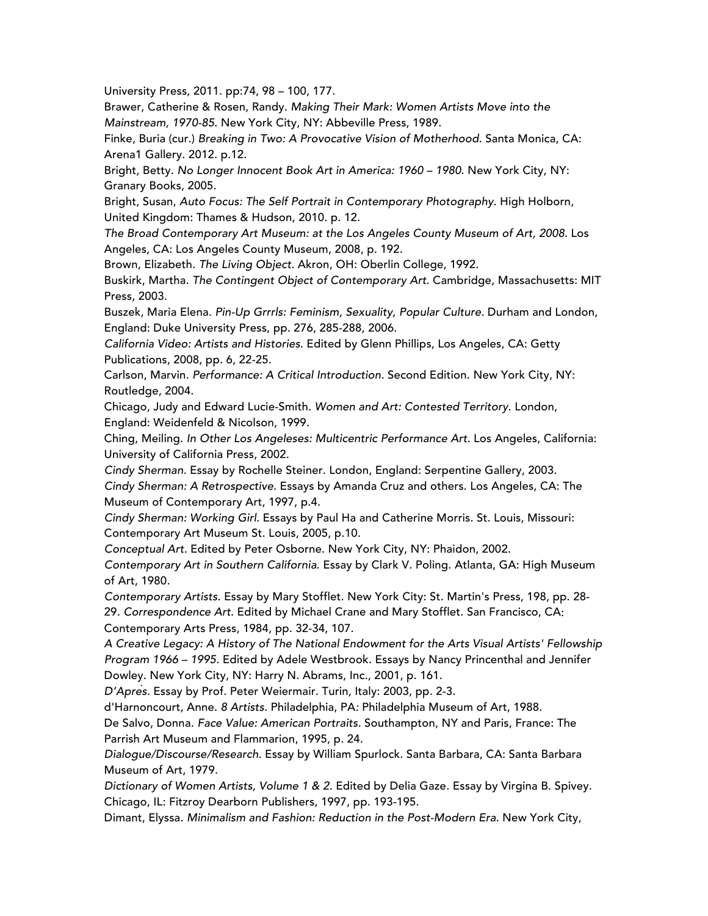University Press, 2011. pp:74, 98 – 100, 177.

Brawer, Catherine & Rosen, Randy. *Making Their Mark: Women Artists Move into the Mainstream, 1970-85*. New York City, NY: Abbeville Press, 1989.

Finke, Buria (cur.) *Breaking in Two: A Provocative Vision of Motherhood.* Santa Monica, CA: Arena1 Gallery. 2012. p.12.

Bright, Betty. *No Longer Innocent Book Art in America: 1960 – 1980*. New York City, NY: Granary Books, 2005.

Bright, Susan, *Auto Focus: The Self Portrait in Contemporary Photography*. High Holborn, United Kingdom: Thames & Hudson, 2010. p. 12.

*The Broad Contemporary Art Museum: at the Los Angeles County Museum of Art, 2008*. Los Angeles, CA: Los Angeles County Museum, 2008, p. 192.

Brown, Elizabeth. *The Living Object*. Akron, OH: Oberlin College, 1992.

Buskirk, Martha. *The Contingent Object of Contemporary Art*. Cambridge, Massachusetts: MIT Press, 2003.

Buszek, Maria Elena. *Pin-Up Grrrls: Feminism, Sexuality, Popular Culture.* Durham and London, England: Duke University Press, pp. 276, 285-288, 2006.

*California Video: Artists and Histories*. Edited by Glenn Phillips, Los Angeles, CA: Getty Publications, 2008, pp. 6, 22-25.

Carlson, Marvin. *Performance: A Critical Introduction.* Second Edition. New York City, NY: Routledge, 2004.

Chicago, Judy and Edward Lucie-Smith. *Women and Art: Contested Territory*. London, England: Weidenfeld & Nicolson, 1999.

Ching, Meiling. *In Other Los Angeleses: Multicentric Performance Art.* Los Angeles, California: University of California Press, 2002.

*Cindy Sherman.* Essay by Rochelle Steiner. London, England: Serpentine Gallery, 2003. *Cindy Sherman: A Retrospective*. Essays by Amanda Cruz and others. Los Angeles, CA: The Museum of Contemporary Art, 1997, p.4.

*Cindy Sherman: Working Girl.* Essays by Paul Ha and Catherine Morris. St. Louis, Missouri: Contemporary Art Museum St. Louis, 2005, p.10.

*Conceptual Art.* Edited by Peter Osborne. New York City, NY: Phaidon, 2002.

*Contemporary Art in Southern California*. Essay by Clark V. Poling. Atlanta, GA: High Museum of Art, 1980.

*Contemporary Artists*. Essay by Mary Stofflet. New York City: St. Martin's Press, 198, pp. 28- 29. *Correspondence Art*. Edited by Michael Crane and Mary Stofflet. San Francisco, CA: Contemporary Arts Press, 1984, pp. 32-34, 107.

*A Creative Legacy: A History of The National Endowment for the Arts Visual Artists' Fellowship Program 1966 – 1995*. Edited by Adele Westbrook. Essays by Nancy Princenthal and Jennifer Dowley. New York City, NY: Harry N. Abrams, Inc., 2001, p. 161.

*D'Après.* Essay by Prof. Peter Weiermair. Turin, Italy: 2003, pp. 2-3.

d'Harnoncourt, Anne. *8 Artists*. Philadelphia, PA*:* Philadelphia Museum of Art, 1988.

De Salvo, Donna. *Face Value: American Portraits.* Southampton, NY and Paris, France: The Parrish Art Museum and Flammarion, 1995, p. 24.

*Dialogue/Discourse/Research*. Essay by William Spurlock. Santa Barbara, CA: Santa Barbara Museum of Art, 1979.

*Dictionary of Women Artists, Volume 1 & 2.* Edited by Delia Gaze. Essay by Virgina B. Spivey. Chicago, IL: Fitzroy Dearborn Publishers, 1997, pp. 193-195.

Dimant, Elyssa. Minimalism and Fashion: Reduction in the Post-Modern Era. New York City,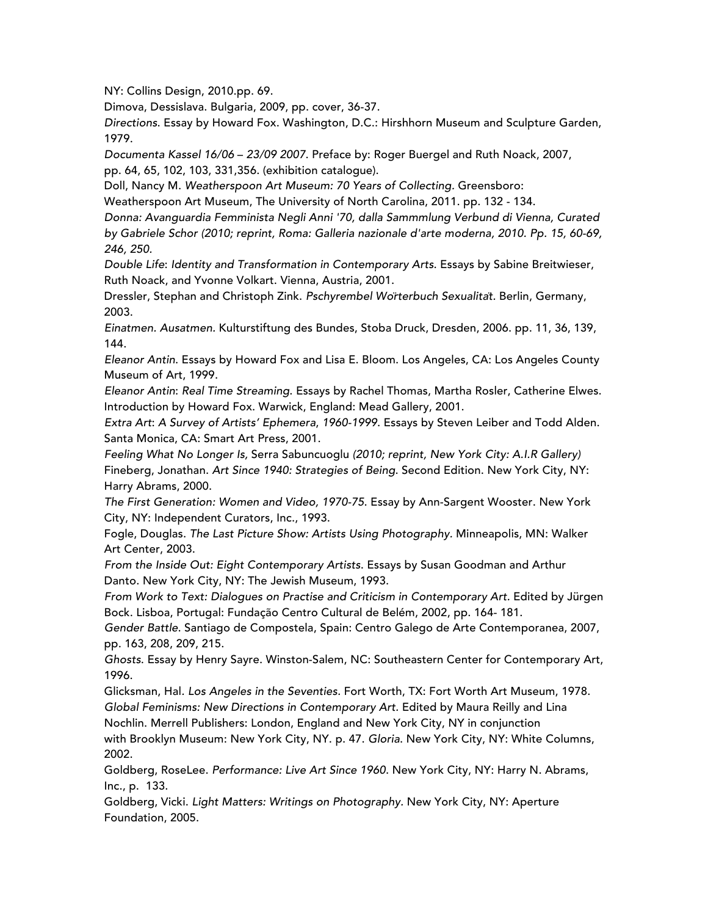NY: Collins Design, 2010.pp. 69.

Dimova, Dessislava. Bulgaria, 2009, pp. cover, 36-37.

*Directions*. Essay by Howard Fox. Washington, D.C.: Hirshhorn Museum and Sculpture Garden, 1979.

*Documenta Kassel 16/06* – *23/09 2007*. Preface by: Roger Buergel and Ruth Noack, 2007, pp. 64, 65, 102, 103, 331,356. (exhibition catalogue).

Doll, Nancy M. *Weatherspoon Art Museum: 70 Years of Collecting.* Greensboro:

Weatherspoon Art Museum, The University of North Carolina, 2011. pp. 132 - 134.

*Donna: Avanguardia Femminista Negli Anni '70, dalla Sammmlung Verbund di Vienna, Curated by Gabriele Schor (2010; reprint, Roma: Galleria nazionale d'arte moderna, 2010. Pp. 15, 60-69, 246, 250.*

*Double Life*: *Identity and Transformation in Contemporary Arts*. Essays by Sabine Breitwieser, Ruth Noack, and Yvonne Volkart. Vienna, Austria, 2001.

Dressler, Stephan and Christoph Zink. *Pschyrembel Wörterbuch Sexualität.* Berlin, Germany, 2003.

*Einatmen. Ausatmen.* Kulturstiftung des Bundes, Stoba Druck, Dresden, 2006. pp. 11, 36, 139, 144.

*Eleanor Antin*. Essays by Howard Fox and Lisa E. Bloom. Los Angeles, CA: Los Angeles County Museum of Art, 1999.

*Eleanor Antin*: *Real Time Streaming*. Essays by Rachel Thomas, Martha Rosler, Catherine Elwes. Introduction by Howard Fox. Warwick, England: Mead Gallery, 2001.

*Extra Art*: *A Survey of Artists' Ephemera*, *1960-1999*. Essays by Steven Leiber and Todd Alden. Santa Monica, CA: Smart Art Press, 2001.

*Feeling What No Longer Is,* Serra Sabuncuoglu *(2010; reprint, New York City: A.I.R Gallery)* Fineberg, Jonathan. *Art Since 1940: Strategies of Being*. Second Edition. New York City, NY: Harry Abrams, 2000.

*The First Generation: Women and Video, 1970-75*. Essay by Ann-Sargent Wooster. New York City, NY: Independent Curators, Inc., 1993.

Fogle, Douglas. *The Last Picture Show: Artists Using Photography.* Minneapolis, MN: Walker Art Center, 2003.

*From the Inside Out: Eight Contemporary Artists*. Essays by Susan Goodman and Arthur Danto. New York City, NY: The Jewish Museum, 1993.

From Work to Text: Dialogues on Practise and Criticism in Contemporary Art. Edited by Jürgen Bock. Lisboa, Portugal: Fundação Centro Cultural de Belém, 2002, pp. 164- 181.

*Gender Battle*. Santiago de Compostela, Spain: Centro Galego de Arte Contemporanea, 2007, pp. 163, 208, 209, 215.

*Ghosts*. Essay by Henry Sayre. Winston-Salem, NC: Southeastern Center for Contemporary Art, 1996.

Glicksman, Hal*. Los Angeles in the Seventies.* Fort Worth, TX: Fort Worth Art Museum, 1978. *Global Feminisms: New Directions in Contemporary Art.* Edited by Maura Reilly and Lina Nochlin. Merrell Publishers: London, England and New York City, NY in conjunction with Brooklyn Museum: New York City, NY. p. 47. *Gloria*. New York City, NY: White Columns, 2002.

Goldberg, RoseLee. *Performance: Live Art Since 1960*. New York City, NY: Harry N. Abrams, Inc., p. 133.

Goldberg, Vicki. *Light Matters: Writings on Photography.* New York City, NY: Aperture Foundation, 2005.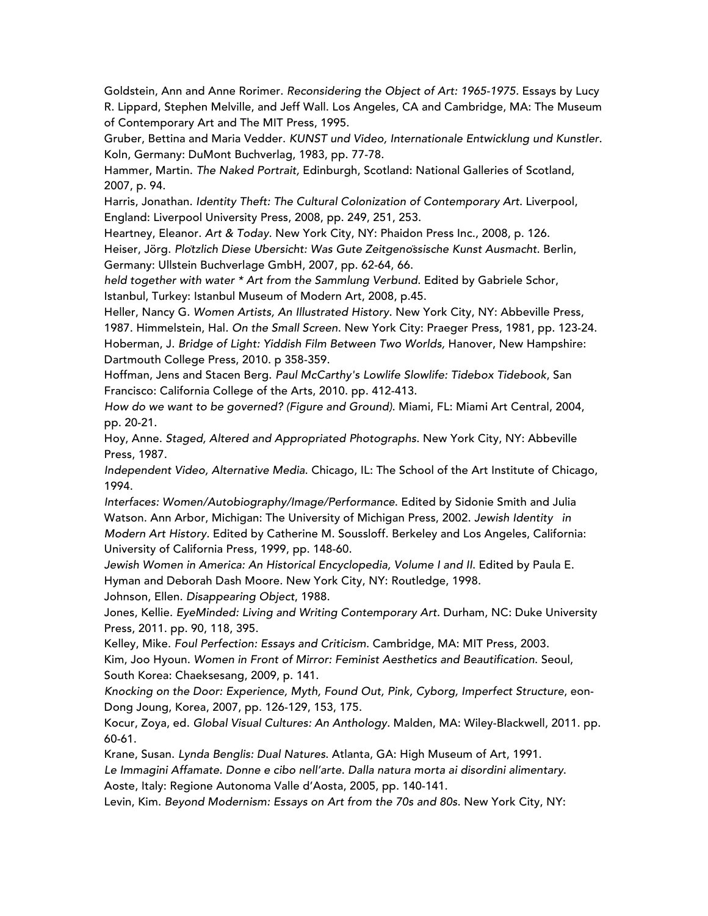Goldstein, Ann and Anne Rorimer. *Reconsidering the Object of Art: 1965-1975.* Essays by Lucy R. Lippard, Stephen Melville, and Jeff Wall. Los Angeles, CA and Cambridge, MA: The Museum of Contemporary Art and The MIT Press, 1995.

Gruber, Bettina and Maria Vedder. *KUNST und Video, Internationale Entwicklung und Kunstler*. Koln, Germany: DuMont Buchverlag, 1983, pp. 77-78.

Hammer, Martin. *The Naked Portrait,* Edinburgh, Scotland: National Galleries of Scotland, 2007, p. 94.

Harris, Jonathan. *Identity Theft: The Cultural Colonization of Contemporary Art*. Liverpool, England: Liverpool University Press, 2008, pp. 249, 251, 253.

Heartney, Eleanor. *Art & Today*. New York City, NY: Phaidon Press Inc., 2008, p. 126.

Heiser, Jörg. *Plötzlich Diese Übersicht: Was Gute Zeitgenössische Kunst Ausmacht*. Berlin, Germany: Ullstein Buchverlage GmbH, 2007, pp. 62-64, 66.

*held together with water \* Art from the Sammlung Verbund*. Edited by Gabriele Schor, Istanbul, Turkey: Istanbul Museum of Modern Art, 2008, p.45.

Heller, Nancy G. *Women Artists, An Illustrated History*. New York City, NY: Abbeville Press, 1987. Himmelstein, Hal*. On the Small Screen*. New York City: Praeger Press, 1981, pp. 123-24. Hoberman, J. *Bridge of Light: Yiddish Film Between Two Worlds,* Hanover, New Hampshire: Dartmouth College Press, 2010. p 358-359.

Hoffman, Jens and Stacen Berg. *Paul McCarthy's Lowlife Slowlife: Tidebox Tidebook*, San Francisco: California College of the Arts, 2010. pp. 412-413.

*How do we want to be governed? (Figure and Ground)*. Miami, FL: Miami Art Central, 2004, pp. 20-21.

Hoy, Anne. *Staged, Altered and Appropriated Photographs*. New York City, NY: Abbeville Press, 1987.

*Independent Video, Alternative Media*. Chicago, IL: The School of the Art Institute of Chicago, 1994.

*Interfaces: Women/Autobiography/Image/Performance*. Edited by Sidonie Smith and Julia Watson. Ann Arbor, Michigan: The University of Michigan Press, 2002. *Jewish Identity in Modern Art History.* Edited by Catherine M. Soussloff. Berkeley and Los Angeles, California: University of California Press, 1999, pp. 148-60.

*Jewish Women in America: An Historical Encyclopedia, Volume I and II*. Edited by Paula E. Hyman and Deborah Dash Moore. New York City, NY: Routledge, 1998.

Johnson, Ellen. *Disappearing Object*, 1988.

Jones, Kellie. *EyeMinded: Living and Writing Contemporary Art.* Durham, NC: Duke University Press, 2011. pp. 90, 118, 395.

Kelley, Mike. *Foul Perfection: Essays and Criticism*. Cambridge, MA: MIT Press, 2003. Kim, Joo Hyoun. *Women in Front of Mirror: Feminist Aesthetics and Beautification*. Seoul, South Korea: Chaeksesang, 2009, p. 141.

*Knocking on the Door: Experience, Myth, Found Out, Pink, Cyborg, Imperfect Structure*, eon-Dong Joung, Korea, 2007, pp. 126-129, 153, 175.

Kocur, Zoya, ed. *Global Visual Cultures: An Anthology.* Malden, MA: Wiley-Blackwell, 2011. pp. 60-61.

Krane, Susan. *Lynda Benglis: Dual Natures*. Atlanta, GA: High Museum of Art, 1991.

*Le Immagini Affamate. Donne e cibo nell'arte. Dalla natura morta ai disordini alimentary*.

Aoste, Italy: Regione Autonoma Valle d'Aosta, 2005, pp. 140-141.

Levin, Kim. *Beyond Modernism: Essays on Art from the 70s and 80s*. New York City, NY: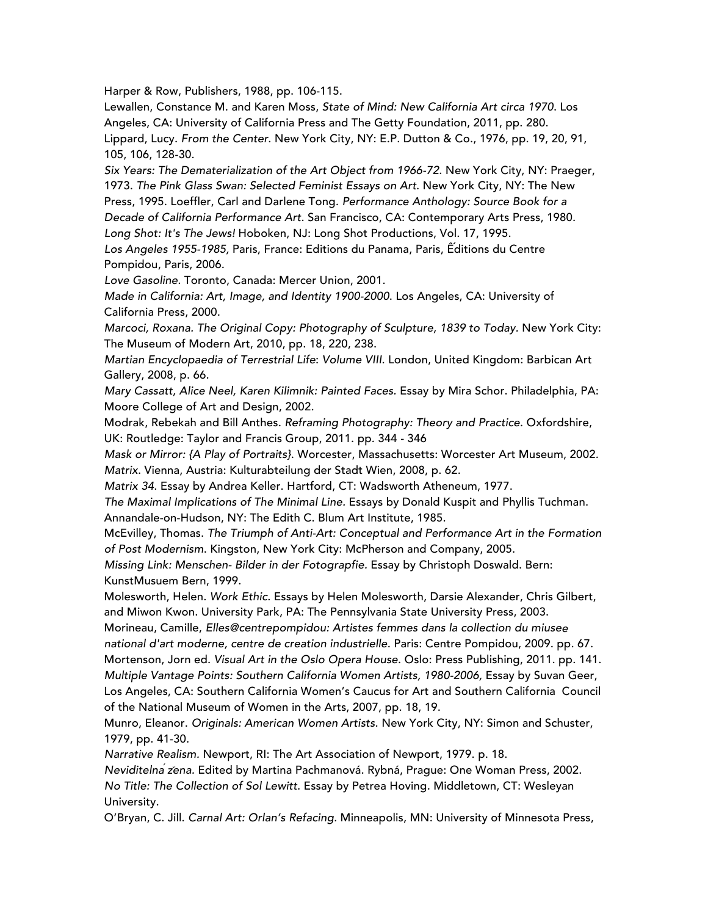Harper & Row, Publishers, 1988, pp. 106-115.

Lewallen, Constance M. and Karen Moss, *State of Mind: New California Art circa 1970*. Los Angeles, CA: University of California Press and The Getty Foundation, 2011, pp. 280. Lippard, Lucy. *From the Center*. New York City, NY: E.P. Dutton & Co., 1976, pp. 19, 20, 91, 105, 106, 128-30.

*Six Years: The Dematerialization of the Art Object from 1966-72*. New York City, NY: Praeger, 1973. *The Pink Glass Swan: Selected Feminist Essays on Art*. New York City, NY: The New Press, 1995. Loeffler, Carl and Darlene Tong*. Performance Anthology: Source Book for a Decade of California Performance Art*. San Francisco, CA: Contemporary Arts Press, 1980. *Long Shot: It's The Jews!* Hoboken, NJ: Long Shot Productions, Vol. 17, 1995.

*Los Angeles 1955-1985,* Paris, France: Editions du Panama, Paris, Ếditions du Centre Pompidou, Paris, 2006.

*Love Gasoline.* Toronto, Canada: Mercer Union, 2001.

*Made in California: Art, Image, and Identity 1900-2000*. Los Angeles, CA: University of California Press, 2000.

*Marcoci, Roxana. The Original Copy: Photography of Sculpture, 1839 to Today. New York City:* The Museum of Modern Art, 2010, pp. 18, 220, 238.

*Martian Encyclopaedia of Terrestrial Life*: *Volume VIII*. London, United Kingdom: Barbican Art Gallery, 2008, p. 66.

*Mary Cassatt, Alice Neel, Karen Kilimnik: Painted Faces.* Essay by Mira Schor. Philadelphia, PA: Moore College of Art and Design, 2002.

Modrak, Rebekah and Bill Anthes. *Reframing Photography: Theory and Practice.* Oxfordshire, UK: Routledge: Taylor and Francis Group, 2011. pp. 344 - 346

*Mask or Mirror: {A Play of Portraits}*. Worcester, Massachusetts: Worcester Art Museum, 2002. *Matrix*. Vienna, Austria: Kulturabteilung der Stadt Wien, 2008, p. 62.

*Matrix 34*. Essay by Andrea Keller. Hartford, CT: Wadsworth Atheneum, 1977.

*The Maximal Implications of The Minimal Line.* Essays by Donald Kuspit and Phyllis Tuchman. Annandale-on-Hudson, NY: The Edith C. Blum Art Institute, 1985.

McEvilley, Thomas. *The Triumph of Anti-Art: Conceptual and Performance Art in the Formation of Post Modernism*. Kingston, New York City: McPherson and Company, 2005.

*Missing Link: Menschen- Bilder in der Fotograpfie.* Essay by Christoph Doswald. Bern: KunstMusuem Bern, 1999.

Molesworth, Helen. *Work Ethic*. Essays by Helen Molesworth, Darsie Alexander, Chris Gilbert, and Miwon Kwon. University Park, PA: The Pennsylvania State University Press, 2003.

Morineau, Camille, *Elles@centrepompidou: Artistes femmes dans la collection du miusee national d'art moderne, centre de creation industrielle*. Paris: Centre Pompidou, 2009. pp. 67. Mortenson, Jorn ed. *Visual Art in the Oslo Opera House*. Oslo: Press Publishing, 2011. pp. 141. *Multiple Vantage Points: Southern California Women Artists, 1980-2006,* Essay by Suvan Geer, Los Angeles, CA: Southern California Women's Caucus for Art and Southern California Council of the National Museum of Women in the Arts, 2007, pp. 18, 19.

Munro, Eleanor. *Originals: American Women Artists*. New York City, NY: Simon and Schuster, 1979, pp. 41-30.

*Narrative Realism.* Newport, RI: The Art Association of Newport, 1979. p. 18.

*Neviditelná žena.* Edited by Martina Pachmanová. Rybná, Prague: One Woman Press, 2002. *No Title: The Collection of Sol Lewitt*. Essay by Petrea Hoving. Middletown, CT: Wesleyan University.

O'Bryan, C. Jill. *Carnal Art: Orlan's Refacing.* Minneapolis, MN: University of Minnesota Press,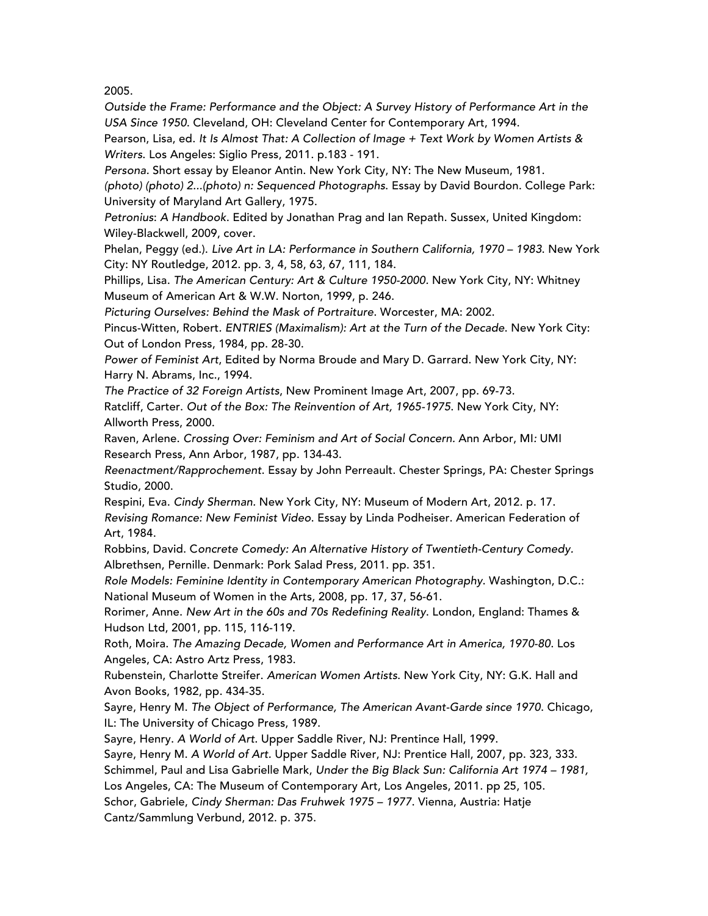2005.

*Outside the Frame: Performance and the Object: A Survey History of Performance Art in the USA Since 1950*. Cleveland, OH: Cleveland Center for Contemporary Art, 1994.

Pearson, Lisa, ed. *It Is Almost That: A Collection of Image + Text Work by Women Artists & Writers*. Los Angeles: Siglio Press, 2011. p.183 - 191.

*Persona.* Short essay by Eleanor Antin. New York City, NY: The New Museum, 1981. *(photo) (photo) 2...(photo) n: Sequenced Photographs*. Essay by David Bourdon. College Park: University of Maryland Art Gallery, 1975.

*Petronius*: *A Handbook*. Edited by Jonathan Prag and Ian Repath. Sussex, United Kingdom: Wiley-Blackwell, 2009, cover.

Phelan, Peggy (ed.). *Live Art in LA: Performance in Southern California, 1970 – 1983*. New York City: NY Routledge, 2012. pp. 3, 4, 58, 63, 67, 111, 184.

Phillips, Lisa. *The American Century: Art & Culture 1950-2000.* New York City, NY: Whitney Museum of American Art & W.W. Norton, 1999, p. 246.

*Picturing Ourselves: Behind the Mask of Portraiture*. Worcester, MA: 2002.

Pincus-Witten, Robert*. ENTRIES (Maximalism): Art at the Turn of the Decade*. New York City: Out of London Press, 1984, pp. 28-30.

*Power of Feminist Art*, Edited by Norma Broude and Mary D. Garrard. New York City, NY: Harry N. Abrams, Inc., 1994.

*The Practice of 32 Foreign Artists*, New Prominent Image Art, 2007, pp. 69-73.

Ratcliff, Carter. *Out of the Box: The Reinvention of Art, 1965-1975*. New York City, NY: Allworth Press, 2000.

Raven, Arlene. *Crossing Over: Feminism and Art of Social Concern.* Ann Arbor, MI*:* UMI Research Press, Ann Arbor, 1987, pp. 134-43.

*Reenactment/Rapprochement*. Essay by John Perreault. Chester Springs, PA: Chester Springs Studio, 2000.

Respini, Eva. *Cindy Sherman.* New York City, NY: Museum of Modern Art, 2012. p. 17. *Revising Romance: New Feminist Video*. Essay by Linda Podheiser. American Federation of Art, 1984.

Robbins, David. C*oncrete Comedy: An Alternative History of Twentieth-Century Comedy.* Albrethsen, Pernille. Denmark: Pork Salad Press, 2011. pp. 351.

*Role Models: Feminine Identity in Contemporary American Photography*. Washington, D.C.: National Museum of Women in the Arts, 2008, pp. 17, 37, 56-61.

Rorimer, Anne. *New Art in the 60s and 70s Redefining Reality*. London, England: Thames & Hudson Ltd, 2001, pp. 115, 116-119.

Roth, Moira. *The Amazing Decade, Women and Performance Art in America, 1970-80*. Los Angeles, CA: Astro Artz Press, 1983.

Rubenstein, Charlotte Streifer. *American Women Artists*. New York City, NY: G.K. Hall and Avon Books, 1982, pp. 434-35.

Sayre, Henry M. *The Object of Performance, The American Avant-Garde since 1970*. Chicago, IL: The University of Chicago Press, 1989.

Sayre, Henry. *A World of Art*. Upper Saddle River, NJ: Prentince Hall, 1999.

Sayre, Henry M. *A World of Art.* Upper Saddle River, NJ: Prentice Hall, 2007, pp. 323, 333.

Schimmel, Paul and Lisa Gabrielle Mark, *Under the Big Black Sun: California Art 1974 – 1981,*

Los Angeles, CA: The Museum of Contemporary Art, Los Angeles, 2011. pp 25, 105.

Schor, Gabriele, *Cindy Sherman: Das Fruhwek 1975 – 1977*. Vienna, Austria: Hatje Cantz/Sammlung Verbund, 2012. p. 375.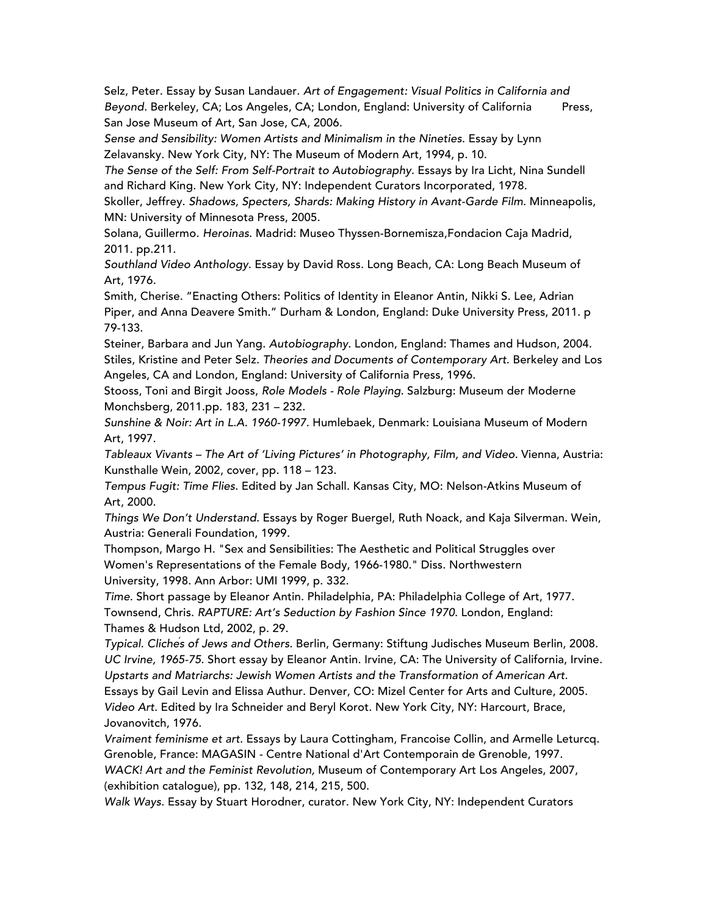Selz, Peter. Essay by Susan Landauer. *Art of Engagement: Visual Politics in California and* Beyond. Berkeley, CA; Los Angeles, CA; London, England: University of California Press, San Jose Museum of Art, San Jose, CA, 2006.

*Sense and Sensibility: Women Artists and Minimalism in the Nineties.* Essay by Lynn Zelavansky. New York City, NY: The Museum of Modern Art, 1994, p. 10.

The Sense of the Self: From Self-Portrait to Autobiography. Essays by Ira Licht, Nina Sundell and Richard King. New York City, NY: Independent Curators Incorporated, 1978.

Skoller, Jeffrey. *Shadows, Specters, Shards: Making History in Avant-Garde Film*. Minneapolis, MN: University of Minnesota Press, 2005.

Solana, Guillermo. *Heroinas*. Madrid: Museo Thyssen-Bornemisza,Fondacion Caja Madrid, 2011. pp.211.

*Southland Video Anthology*. Essay by David Ross. Long Beach, CA: Long Beach Museum of Art, 1976.

Smith, Cherise. "Enacting Others: Politics of Identity in Eleanor Antin, Nikki S. Lee, Adrian Piper, and Anna Deavere Smith." Durham & London, England: Duke University Press, 2011. p 79-133.

Steiner, Barbara and Jun Yang. *Autobiography*. London, England: Thames and Hudson, 2004. Stiles, Kristine and Peter Selz. *Theories and Documents of Contemporary Art*. Berkeley and Los Angeles, CA and London, England: University of California Press, 1996.

Stooss, Toni and Birgit Jooss, *Role Models - Role Playing*. Salzburg: Museum der Moderne Monchsberg, 2011.pp. 183, 231 – 232.

*Sunshine & Noir: Art in L.A. 1960-1997.* Humlebaek, Denmark: Louisiana Museum of Modern Art, 1997.

*Tableaux Vivants – The Art of 'Living Pictures' in Photography, Film, and Video.* Vienna, Austria: Kunsthalle Wein, 2002, cover, pp. 118 – 123.

*Tempus Fugit: Time Flies*. Edited by Jan Schall. Kansas City, MO: Nelson-Atkins Museum of Art, 2000.

*Things We Don't Understand.* Essays by Roger Buergel, Ruth Noack, and Kaja Silverman. Wein, Austria: Generali Foundation, 1999.

Thompson, Margo H. "Sex and Sensibilities: The Aesthetic and Political Struggles over Women's Representations of the Female Body, 1966-1980." Diss. Northwestern University, 1998. Ann Arbor: UMI 1999, p. 332.

*Time*. Short passage by Eleanor Antin. Philadelphia, PA: Philadelphia College of Art, 1977. Townsend, Chris. *RAPTURE: Art's Seduction by Fashion Since 1970*. London, England: Thames & Hudson Ltd, 2002, p. 29.

*Typical. Clichés of Jews and Others.* Berlin, Germany: Stiftung Judisches Museum Berlin, 2008. *UC Irvine, 1965-75*. Short essay by Eleanor Antin. Irvine, CA: The University of California, Irvine. *Upstarts and Matriarchs: Jewish Women Artists and the Transformation of American Art.*  Essays by Gail Levin and Elissa Authur. Denver, CO: Mizel Center for Arts and Culture, 2005. *Video Art*. Edited by Ira Schneider and Beryl Korot. New York City, NY: Harcourt, Brace, Jovanovitch, 1976.

*Vraiment feminisme et art*. Essays by Laura Cottingham, Francoise Collin, and Armelle Leturcq. Grenoble, France: MAGASIN - Centre National d'Art Contemporain de Grenoble, 1997.

*WACK! Art and the Feminist Revolution,* Museum of Contemporary Art Los Angeles, 2007, (exhibition catalogue), pp. 132, 148, 214, 215, 500.

*Walk Ways*. Essay by Stuart Horodner, curator. New York City, NY: Independent Curators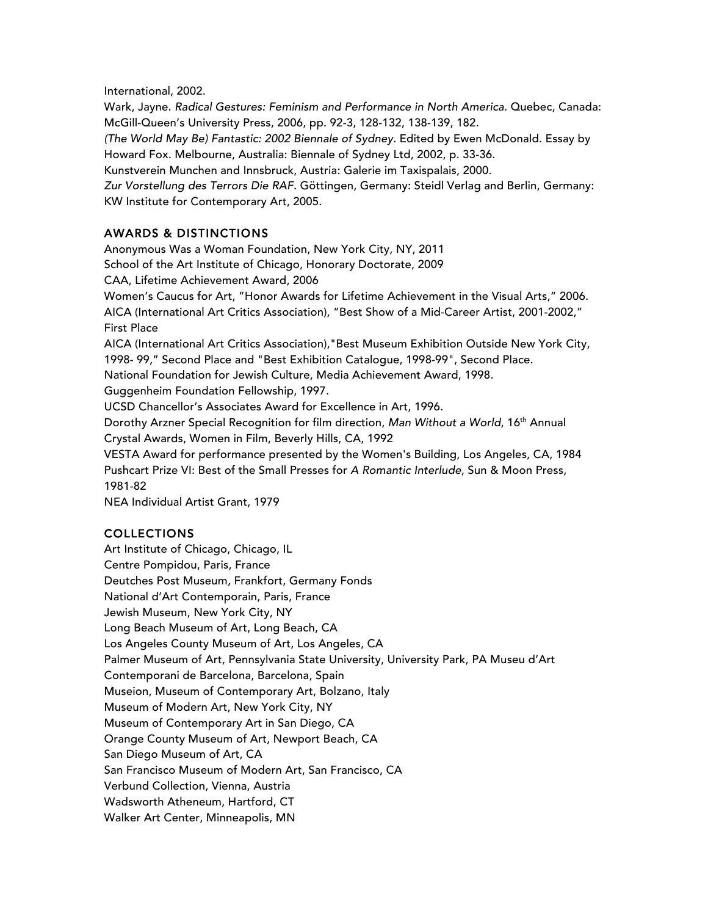International, 2002.

Wark, Jayne. *Radical Gestures: Feminism and Performance in North America*. Quebec, Canada: McGill-Queen's University Press, 2006, pp. 92-3, 128-132, 138-139, 182.

*(The World May Be) Fantastic: 2002 Biennale of Sydney.* Edited by Ewen McDonald. Essay by Howard Fox. Melbourne, Australia: Biennale of Sydney Ltd, 2002, p. 33-36.

Kunstverein Munchen and Innsbruck, Austria: Galerie im Taxispalais, 2000.

*Zur Vorstellung des Terrors Die RAF*. Göttingen, Germany: Steidl Verlag and Berlin, Germany: KW Institute for Contemporary Art, 2005.

## AWARDS & DISTINCTIONS

Anonymous Was a Woman Foundation, New York City, NY, 2011 School of the Art Institute of Chicago, Honorary Doctorate, 2009 CAA, Lifetime Achievement Award, 2006 Women's Caucus for Art, "Honor Awards for Lifetime Achievement in the Visual Arts," 2006. AICA (International Art Critics Association), "Best Show of a Mid-Career Artist, 2001-2002," First Place AICA (International Art Critics Association),"Best Museum Exhibition Outside New York City, 1998- 99," Second Place and "Best Exhibition Catalogue, 1998-99", Second Place. National Foundation for Jewish Culture, Media Achievement Award, 1998. Guggenheim Foundation Fellowship, 1997. UCSD Chancellor's Associates Award for Excellence in Art, 1996. Dorothy Arzner Special Recognition for film direction, *Man Without a World*, 16th Annual Crystal Awards, Women in Film, Beverly Hills, CA, 1992 VESTA Award for performance presented by the Women's Building, Los Angeles, CA, 1984 Pushcart Prize VI: Best of the Small Presses for *A Romantic Interlude*, Sun & Moon Press, 1981-82 NEA Individual Artist Grant, 1979

## COLLECTIONS

Art Institute of Chicago, Chicago, IL Centre Pompidou, Paris, France Deutches Post Museum, Frankfort, Germany Fonds National d'Art Contemporain, Paris, France Jewish Museum, New York City, NY Long Beach Museum of Art, Long Beach, CA Los Angeles County Museum of Art, Los Angeles, CA Palmer Museum of Art, Pennsylvania State University, University Park, PA Museu d'Art Contemporani de Barcelona, Barcelona, Spain Museion, Museum of Contemporary Art, Bolzano, Italy Museum of Modern Art, New York City, NY Museum of Contemporary Art in San Diego, CA Orange County Museum of Art, Newport Beach, CA San Diego Museum of Art, CA San Francisco Museum of Modern Art, San Francisco, CA Verbund Collection, Vienna, Austria Wadsworth Atheneum, Hartford, CT Walker Art Center, Minneapolis, MN